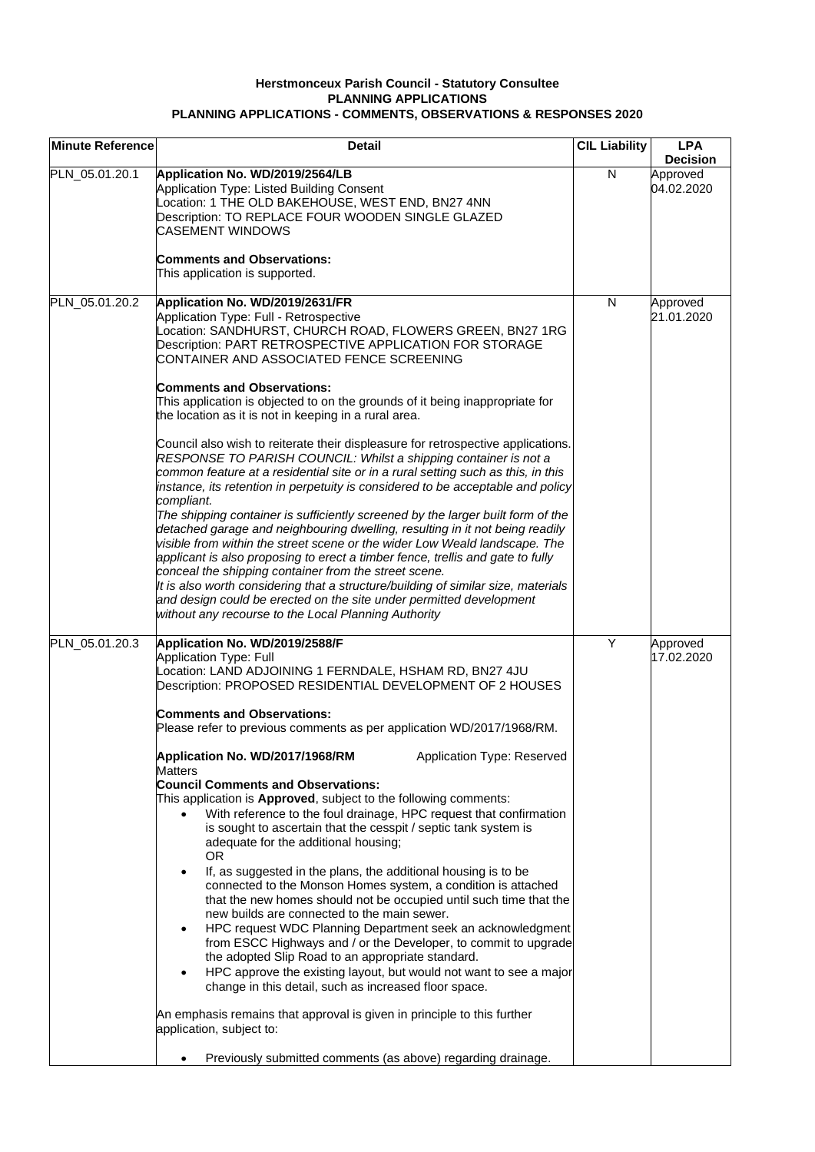## **Herstmonceux Parish Council - Statutory Consultee PLANNING APPLICATIONS PLANNING APPLICATIONS - COMMENTS, OBSERVATIONS & RESPONSES 2020**

| <b>Minute Reference</b> | <b>Detail</b>                                                                                                                                                                                                                                                                                                                                                                                                                                                                                                                                                                                                | <b>CIL Liability</b> | <b>LPA</b><br><b>Decision</b> |
|-------------------------|--------------------------------------------------------------------------------------------------------------------------------------------------------------------------------------------------------------------------------------------------------------------------------------------------------------------------------------------------------------------------------------------------------------------------------------------------------------------------------------------------------------------------------------------------------------------------------------------------------------|----------------------|-------------------------------|
| PLN_05.01.20.1          | Application No. WD/2019/2564/LB<br>Application Type: Listed Building Consent<br>Location: 1 THE OLD BAKEHOUSE, WEST END, BN27 4NN<br>Description: TO REPLACE FOUR WOODEN SINGLE GLAZED<br><b>CASEMENT WINDOWS</b><br><b>Comments and Observations:</b><br>This application is supported.                                                                                                                                                                                                                                                                                                                     | N                    | Approved<br>04.02.2020        |
|                         |                                                                                                                                                                                                                                                                                                                                                                                                                                                                                                                                                                                                              |                      |                               |
| PLN_05.01.20.2          | Application No. WD/2019/2631/FR<br>Application Type: Full - Retrospective<br>Location: SANDHURST, CHURCH ROAD, FLOWERS GREEN, BN27 1RG<br>Description: PART RETROSPECTIVE APPLICATION FOR STORAGE<br>CONTAINER AND ASSOCIATED FENCE SCREENING<br><b>Comments and Observations:</b>                                                                                                                                                                                                                                                                                                                           | N                    | Approved<br>21.01.2020        |
|                         | This application is objected to on the grounds of it being inappropriate for<br>the location as it is not in keeping in a rural area.                                                                                                                                                                                                                                                                                                                                                                                                                                                                        |                      |                               |
|                         | Council also wish to reiterate their displeasure for retrospective applications.<br>RESPONSE TO PARISH COUNCIL: Whilst a shipping container is not a<br>common feature at a residential site or in a rural setting such as this, in this<br>instance, its retention in perpetuity is considered to be acceptable and policy<br>compliant.                                                                                                                                                                                                                                                                    |                      |                               |
|                         | The shipping container is sufficiently screened by the larger built form of the<br>detached garage and neighbouring dwelling, resulting in it not being readily<br>visible from within the street scene or the wider Low Weald landscape. The<br>applicant is also proposing to erect a timber fence, trellis and gate to fully<br>conceal the shipping container from the street scene.<br>It is also worth considering that a structure/building of similar size, materials<br>and design could be erected on the site under permitted development<br>without any recourse to the Local Planning Authority |                      |                               |
| PLN_05.01.20.3          | Application No. WD/2019/2588/F<br><b>Application Type: Full</b><br>Location: LAND ADJOINING 1 FERNDALE, HSHAM RD, BN27 4JU<br>Description: PROPOSED RESIDENTIAL DEVELOPMENT OF 2 HOUSES                                                                                                                                                                                                                                                                                                                                                                                                                      | Y                    | Approved<br>17.02.2020        |
|                         | <b>Comments and Observations:</b><br>Please refer to previous comments as per application WD/2017/1968/RM.                                                                                                                                                                                                                                                                                                                                                                                                                                                                                                   |                      |                               |
|                         | Application No. WD/2017/1968/RM<br>Application Type: Reserved<br><b>Matters</b><br><b>Council Comments and Observations:</b><br>This application is Approved, subject to the following comments:<br>With reference to the foul drainage, HPC request that confirmation<br>is sought to ascertain that the cesspit / septic tank system is<br>adequate for the additional housing;<br><b>OR</b>                                                                                                                                                                                                               |                      |                               |
|                         | If, as suggested in the plans, the additional housing is to be<br>connected to the Monson Homes system, a condition is attached<br>that the new homes should not be occupied until such time that the<br>new builds are connected to the main sewer.<br>HPC request WDC Planning Department seek an acknowledgment<br>from ESCC Highways and / or the Developer, to commit to upgrade<br>the adopted Slip Road to an appropriate standard.<br>HPC approve the existing layout, but would not want to see a major<br>change in this detail, such as increased floor space.                                    |                      |                               |
|                         | An emphasis remains that approval is given in principle to this further<br>application, subject to:                                                                                                                                                                                                                                                                                                                                                                                                                                                                                                          |                      |                               |
|                         | Previously submitted comments (as above) regarding drainage.                                                                                                                                                                                                                                                                                                                                                                                                                                                                                                                                                 |                      |                               |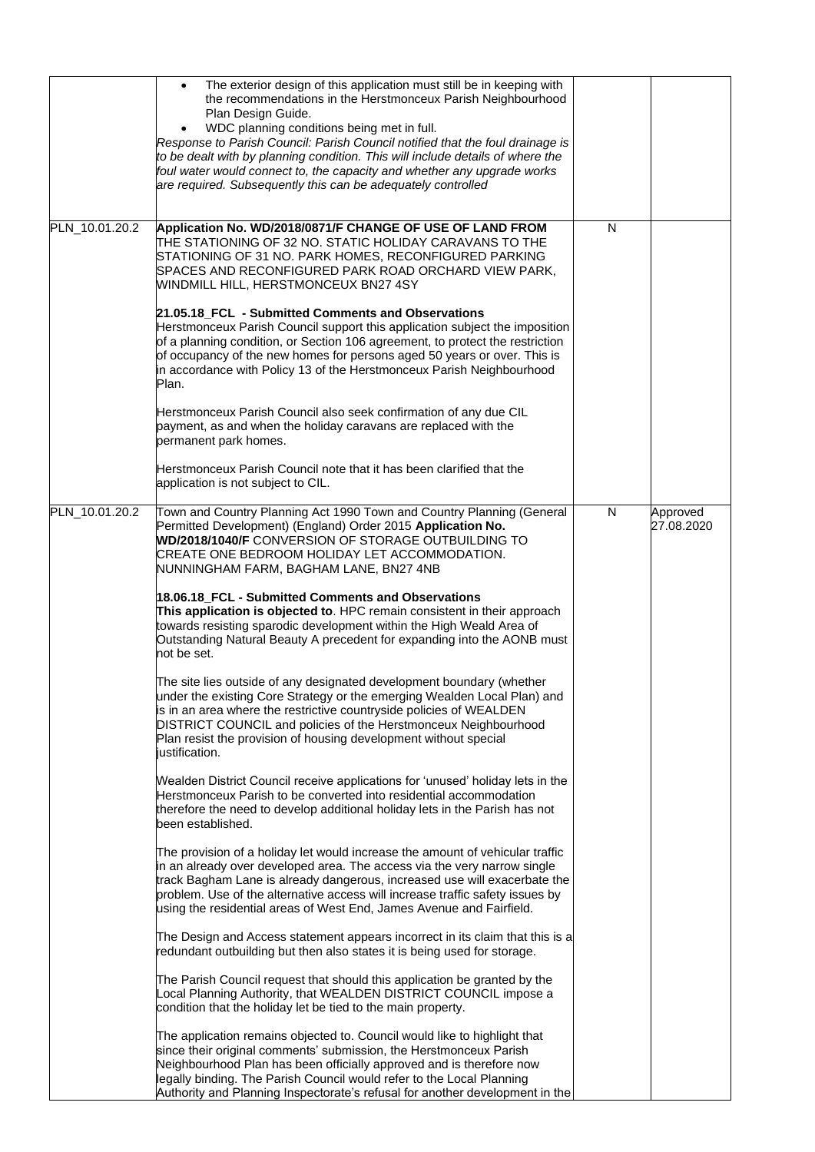|                | The exterior design of this application must still be in keeping with<br>$\bullet$<br>the recommendations in the Herstmonceux Parish Neighbourhood<br>Plan Design Guide.<br>WDC planning conditions being met in full.<br>Response to Parish Council: Parish Council notified that the foul drainage is<br>to be dealt with by planning condition. This will include details of where the<br>foul water would connect to, the capacity and whether any upgrade works<br>are required. Subsequently this can be adequately controlled |   |                        |
|----------------|--------------------------------------------------------------------------------------------------------------------------------------------------------------------------------------------------------------------------------------------------------------------------------------------------------------------------------------------------------------------------------------------------------------------------------------------------------------------------------------------------------------------------------------|---|------------------------|
| PLN_10.01.20.2 | Application No. WD/2018/0871/F CHANGE OF USE OF LAND FROM<br>THE STATIONING OF 32 NO. STATIC HOLIDAY CARAVANS TO THE<br>STATIONING OF 31 NO. PARK HOMES, RECONFIGURED PARKING<br>SPACES AND RECONFIGURED PARK ROAD ORCHARD VIEW PARK,<br>WINDMILL HILL, HERSTMONCEUX BN27 4SY                                                                                                                                                                                                                                                        | N |                        |
|                | 21.05.18_FCL - Submitted Comments and Observations<br>Herstmonceux Parish Council support this application subject the imposition<br>of a planning condition, or Section 106 agreement, to protect the restriction<br>of occupancy of the new homes for persons aged 50 years or over. This is<br>in accordance with Policy 13 of the Herstmonceux Parish Neighbourhood<br>Plan.                                                                                                                                                     |   |                        |
|                | Herstmonceux Parish Council also seek confirmation of any due CIL<br>payment, as and when the holiday caravans are replaced with the<br>permanent park homes.                                                                                                                                                                                                                                                                                                                                                                        |   |                        |
|                | Herstmonceux Parish Council note that it has been clarified that the<br>application is not subject to CIL.                                                                                                                                                                                                                                                                                                                                                                                                                           |   |                        |
| PLN_10.01.20.2 | Town and Country Planning Act 1990 Town and Country Planning (General<br>Permitted Development) (England) Order 2015 Application No.<br>WD/2018/1040/F CONVERSION OF STORAGE OUTBUILDING TO<br>CREATE ONE BEDROOM HOLIDAY LET ACCOMMODATION.<br>NUNNINGHAM FARM, BAGHAM LANE, BN27 4NB                                                                                                                                                                                                                                               | N | Approved<br>27.08.2020 |
|                | 18.06.18 FCL - Submitted Comments and Observations<br>This application is objected to. HPC remain consistent in their approach<br>towards resisting sparodic development within the High Weald Area of<br>Outstanding Natural Beauty A precedent for expanding into the AONB must<br>not be set.                                                                                                                                                                                                                                     |   |                        |
|                | The site lies outside of any designated development boundary (whether<br>under the existing Core Strategy or the emerging Wealden Local Plan) and<br>is in an area where the restrictive countryside policies of WEALDEN<br>DISTRICT COUNCIL and policies of the Herstmonceux Neighbourhood<br>Plan resist the provision of housing development without special<br>justification.                                                                                                                                                    |   |                        |
|                | Wealden District Council receive applications for 'unused' holiday lets in the<br>Herstmonceux Parish to be converted into residential accommodation<br>therefore the need to develop additional holiday lets in the Parish has not<br>been established.                                                                                                                                                                                                                                                                             |   |                        |
|                | The provision of a holiday let would increase the amount of vehicular traffic<br>in an already over developed area. The access via the very narrow single<br>track Bagham Lane is already dangerous, increased use will exacerbate the<br>problem. Use of the alternative access will increase traffic safety issues by<br>using the residential areas of West End, James Avenue and Fairfield.                                                                                                                                      |   |                        |
|                | The Design and Access statement appears incorrect in its claim that this is a<br>redundant outbuilding but then also states it is being used for storage.                                                                                                                                                                                                                                                                                                                                                                            |   |                        |
|                | The Parish Council request that should this application be granted by the<br>Local Planning Authority, that WEALDEN DISTRICT COUNCIL impose a<br>condition that the holiday let be tied to the main property.                                                                                                                                                                                                                                                                                                                        |   |                        |
|                | The application remains objected to. Council would like to highlight that<br>since their original comments' submission, the Herstmonceux Parish<br>Neighbourhood Plan has been officially approved and is therefore now<br>legally binding. The Parish Council would refer to the Local Planning<br>Authority and Planning Inspectorate's refusal for another development in the                                                                                                                                                     |   |                        |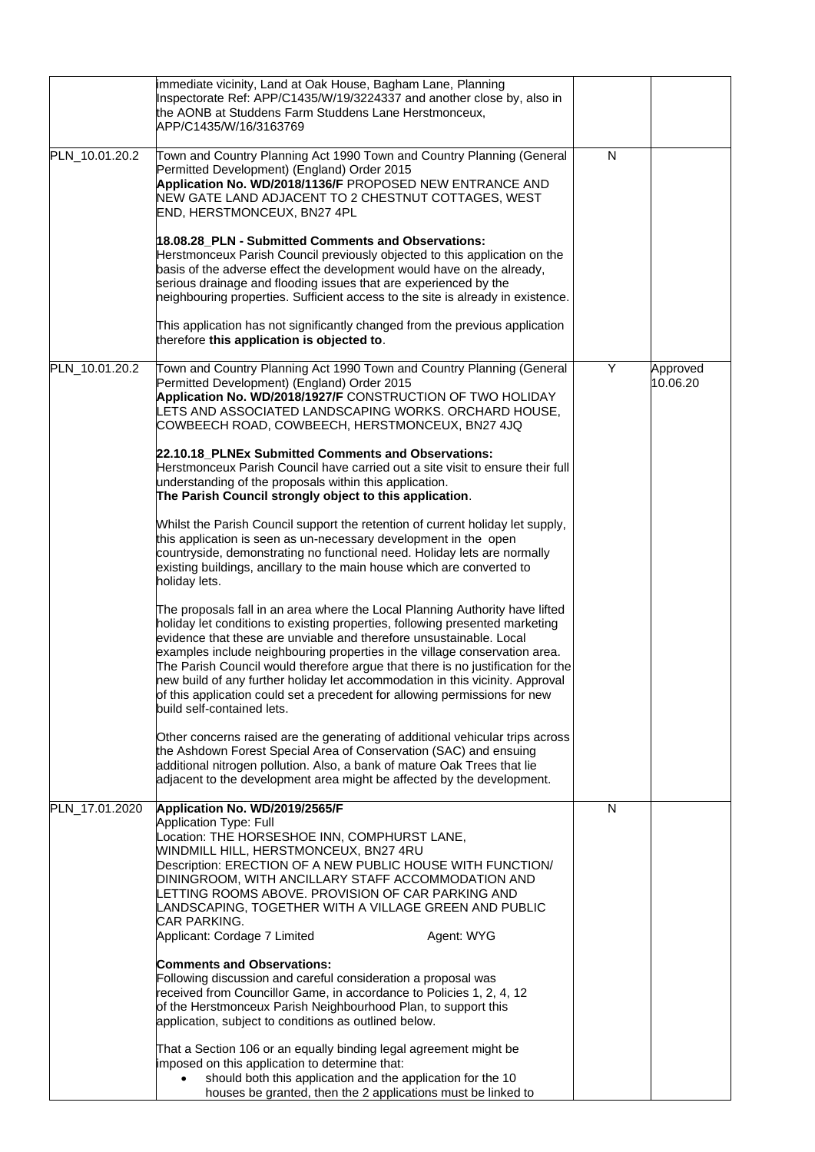|                | immediate vicinity, Land at Oak House, Bagham Lane, Planning<br>Inspectorate Ref: APP/C1435/W/19/3224337 and another close by, also in<br>the AONB at Studdens Farm Studdens Lane Herstmonceux,<br>APP/C1435/W/16/3163769                                                                                                                                                                                                                                                                                                                                                                         |   |                      |
|----------------|---------------------------------------------------------------------------------------------------------------------------------------------------------------------------------------------------------------------------------------------------------------------------------------------------------------------------------------------------------------------------------------------------------------------------------------------------------------------------------------------------------------------------------------------------------------------------------------------------|---|----------------------|
| PLN_10.01.20.2 | Town and Country Planning Act 1990 Town and Country Planning (General<br>Permitted Development) (England) Order 2015<br>Application No. WD/2018/1136/F PROPOSED NEW ENTRANCE AND<br>NEW GATE LAND ADJACENT TO 2 CHESTNUT COTTAGES, WEST<br>END, HERSTMONCEUX, BN27 4PL                                                                                                                                                                                                                                                                                                                            | N |                      |
|                | 18.08.28_PLN - Submitted Comments and Observations:<br>Herstmonceux Parish Council previously objected to this application on the<br>basis of the adverse effect the development would have on the already,<br>serious drainage and flooding issues that are experienced by the<br>neighbouring properties. Sufficient access to the site is already in existence.                                                                                                                                                                                                                                |   |                      |
|                | This application has not significantly changed from the previous application<br>therefore this application is objected to.                                                                                                                                                                                                                                                                                                                                                                                                                                                                        |   |                      |
| PLN_10.01.20.2 | Town and Country Planning Act 1990 Town and Country Planning (General<br>Permitted Development) (England) Order 2015<br>Application No. WD/2018/1927/F CONSTRUCTION OF TWO HOLIDAY<br>LETS AND ASSOCIATED LANDSCAPING WORKS. ORCHARD HOUSE,<br>COWBEECH ROAD, COWBEECH, HERSTMONCEUX, BN27 4JQ                                                                                                                                                                                                                                                                                                    | Υ | Approved<br>10.06.20 |
|                | 22.10.18 PLNEx Submitted Comments and Observations:<br>Herstmonceux Parish Council have carried out a site visit to ensure their full<br>understanding of the proposals within this application.<br>The Parish Council strongly object to this application.                                                                                                                                                                                                                                                                                                                                       |   |                      |
|                | Whilst the Parish Council support the retention of current holiday let supply,<br>this application is seen as un-necessary development in the open<br>countryside, demonstrating no functional need. Holiday lets are normally<br>existing buildings, ancillary to the main house which are converted to<br>holiday lets.                                                                                                                                                                                                                                                                         |   |                      |
|                | The proposals fall in an area where the Local Planning Authority have lifted<br>holiday let conditions to existing properties, following presented marketing<br>evidence that these are unviable and therefore unsustainable. Local<br>examples include neighbouring properties in the village conservation area.<br>The Parish Council would therefore argue that there is no justification for the<br>new build of any further holiday let accommodation in this vicinity. Approval<br>of this application could set a precedent for allowing permissions for new<br>build self-contained lets. |   |                      |
|                | Other concerns raised are the generating of additional vehicular trips across<br>the Ashdown Forest Special Area of Conservation (SAC) and ensuing<br>additional nitrogen pollution. Also, a bank of mature Oak Trees that lie<br>adjacent to the development area might be affected by the development.                                                                                                                                                                                                                                                                                          |   |                      |
| PLN_17.01.2020 | Application No. WD/2019/2565/F<br>Application Type: Full<br>Location: THE HORSESHOE INN, COMPHURST LANE,<br><b>WINDMILL HILL, HERSTMONCEUX, BN27 4RU</b><br>Description: ERECTION OF A NEW PUBLIC HOUSE WITH FUNCTION/<br>DININGROOM, WITH ANCILLARY STAFF ACCOMMODATION AND<br>LETTING ROOMS ABOVE. PROVISION OF CAR PARKING AND<br>LANDSCAPING, TOGETHER WITH A VILLAGE GREEN AND PUBLIC<br><b>CAR PARKING.</b><br>Applicant: Cordage 7 Limited<br>Agent: WYG                                                                                                                                   | N |                      |
|                | <b>Comments and Observations:</b><br>Following discussion and careful consideration a proposal was<br>received from Councillor Game, in accordance to Policies 1, 2, 4, 12<br>of the Herstmonceux Parish Neighbourhood Plan, to support this<br>application, subject to conditions as outlined below.                                                                                                                                                                                                                                                                                             |   |                      |
|                | That a Section 106 or an equally binding legal agreement might be<br>imposed on this application to determine that:<br>should both this application and the application for the 10<br>$\bullet$<br>houses be granted, then the 2 applications must be linked to                                                                                                                                                                                                                                                                                                                                   |   |                      |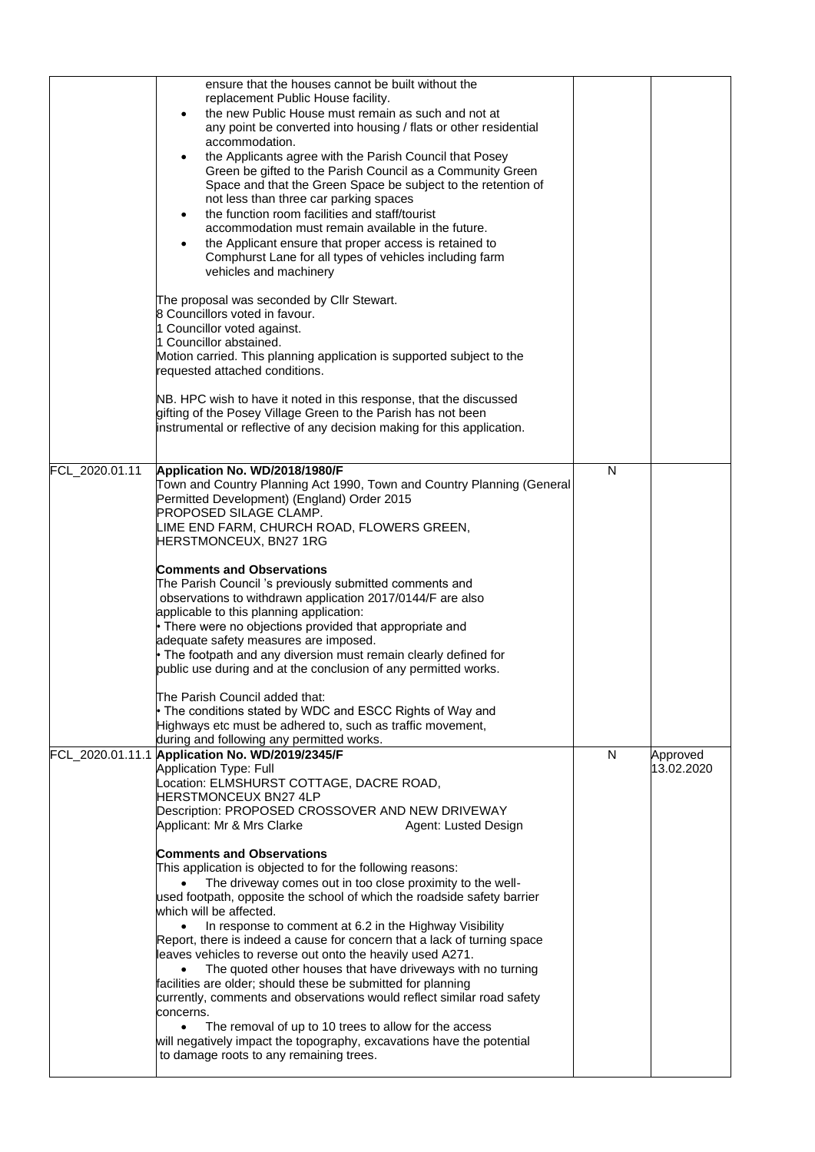|                | ensure that the houses cannot be built without the<br>replacement Public House facility.<br>the new Public House must remain as such and not at<br>any point be converted into housing / flats or other residential<br>accommodation.<br>the Applicants agree with the Parish Council that Posey<br>$\bullet$<br>Green be gifted to the Parish Council as a Community Green<br>Space and that the Green Space be subject to the retention of<br>not less than three car parking spaces<br>the function room facilities and staff/tourist<br>$\bullet$<br>accommodation must remain available in the future.<br>the Applicant ensure that proper access is retained to<br>Comphurst Lane for all types of vehicles including farm<br>vehicles and machinery<br>The proposal was seconded by Cllr Stewart.<br>8 Councillors voted in favour.<br>1 Councillor voted against.<br>1 Councillor abstained.<br>Motion carried. This planning application is supported subject to the<br>requested attached conditions.<br>NB. HPC wish to have it noted in this response, that the discussed<br>gifting of the Posey Village Green to the Parish has not been<br>instrumental or reflective of any decision making for this application. |   |                        |
|----------------|-----------------------------------------------------------------------------------------------------------------------------------------------------------------------------------------------------------------------------------------------------------------------------------------------------------------------------------------------------------------------------------------------------------------------------------------------------------------------------------------------------------------------------------------------------------------------------------------------------------------------------------------------------------------------------------------------------------------------------------------------------------------------------------------------------------------------------------------------------------------------------------------------------------------------------------------------------------------------------------------------------------------------------------------------------------------------------------------------------------------------------------------------------------------------------------------------------------------------------------|---|------------------------|
| FCL_2020.01.11 | Application No. WD/2018/1980/F<br>Town and Country Planning Act 1990, Town and Country Planning (General<br>Permitted Development) (England) Order 2015<br><b>PROPOSED SILAGE CLAMP.</b><br>LIME END FARM, CHURCH ROAD, FLOWERS GREEN,<br>HERSTMONCEUX, BN27 1RG                                                                                                                                                                                                                                                                                                                                                                                                                                                                                                                                                                                                                                                                                                                                                                                                                                                                                                                                                                  | N |                        |
|                | <b>Comments and Observations</b><br>The Parish Council 's previously submitted comments and<br>observations to withdrawn application 2017/0144/F are also<br>applicable to this planning application:<br>• There were no objections provided that appropriate and<br>adequate safety measures are imposed.<br>• The footpath and any diversion must remain clearly defined for<br>public use during and at the conclusion of any permitted works.                                                                                                                                                                                                                                                                                                                                                                                                                                                                                                                                                                                                                                                                                                                                                                                 |   |                        |
|                | The Parish Council added that:<br>• The conditions stated by WDC and ESCC Rights of Way and<br>Highways etc must be adhered to, such as traffic movement,<br>during and following any permitted works.                                                                                                                                                                                                                                                                                                                                                                                                                                                                                                                                                                                                                                                                                                                                                                                                                                                                                                                                                                                                                            |   |                        |
|                | FCL_2020.01.11.1 Application No. WD/2019/2345/F<br><b>Application Type: Full</b><br>Location: ELMSHURST COTTAGE, DACRE ROAD,<br><b>HERSTMONCEUX BN27 4LP</b><br>Description: PROPOSED CROSSOVER AND NEW DRIVEWAY<br>Applicant: Mr & Mrs Clarke<br>Agent: Lusted Design                                                                                                                                                                                                                                                                                                                                                                                                                                                                                                                                                                                                                                                                                                                                                                                                                                                                                                                                                            | N | Approved<br>13.02.2020 |
|                | <b>Comments and Observations</b><br>This application is objected to for the following reasons:<br>The driveway comes out in too close proximity to the well-<br>used footpath, opposite the school of which the roadside safety barrier<br>which will be affected.                                                                                                                                                                                                                                                                                                                                                                                                                                                                                                                                                                                                                                                                                                                                                                                                                                                                                                                                                                |   |                        |
|                | In response to comment at 6.2 in the Highway Visibility<br>$\bullet$<br>Report, there is indeed a cause for concern that a lack of turning space<br>leaves vehicles to reverse out onto the heavily used A271.<br>The quoted other houses that have driveways with no turning<br>$\bullet$<br>facilities are older; should these be submitted for planning<br>currently, comments and observations would reflect similar road safety                                                                                                                                                                                                                                                                                                                                                                                                                                                                                                                                                                                                                                                                                                                                                                                              |   |                        |
|                | concerns.<br>The removal of up to 10 trees to allow for the access<br>$\bullet$<br>will negatively impact the topography, excavations have the potential<br>to damage roots to any remaining trees.                                                                                                                                                                                                                                                                                                                                                                                                                                                                                                                                                                                                                                                                                                                                                                                                                                                                                                                                                                                                                               |   |                        |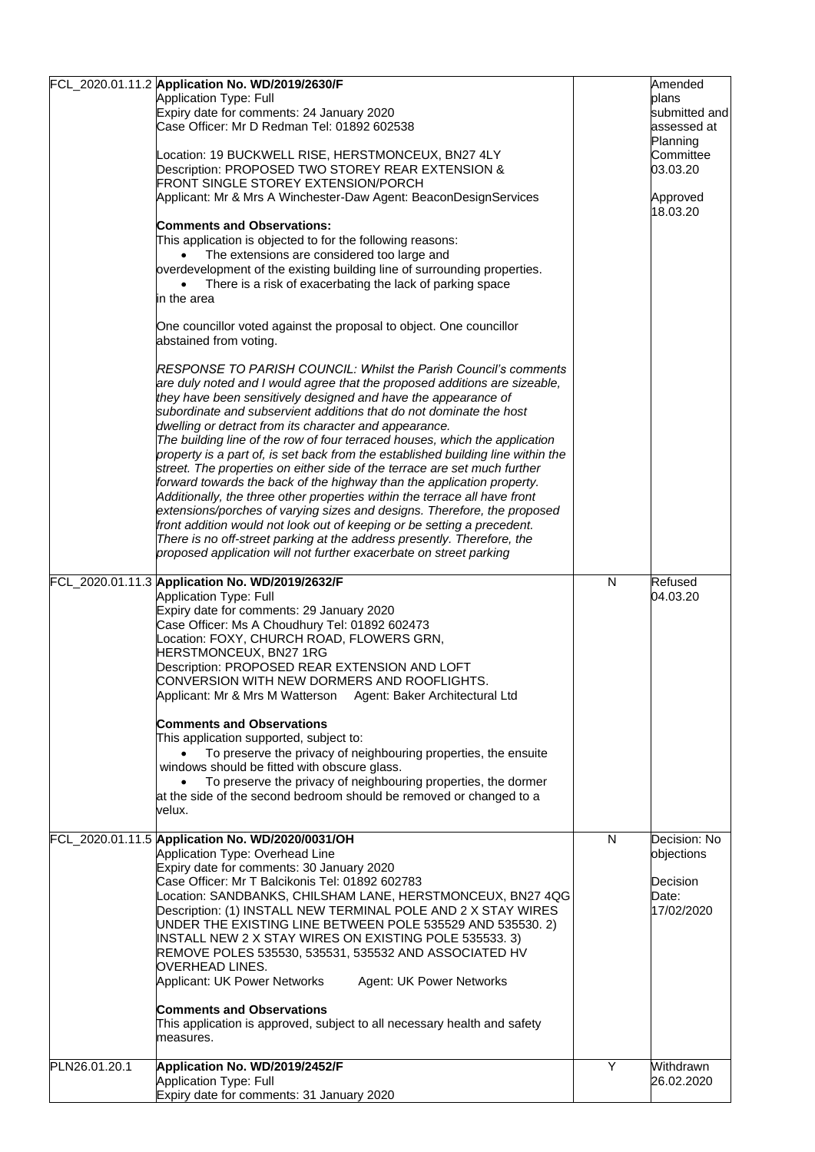|               | FCL_2020.01.11.2 Application No. WD/2019/2630/F<br>Application Type: Full<br>Expiry date for comments: 24 January 2020<br>Case Officer: Mr D Redman Tel: 01892 602538<br>Location: 19 BUCKWELL RISE, HERSTMONCEUX, BN27 4LY<br>Description: PROPOSED TWO STOREY REAR EXTENSION &<br>FRONT SINGLE STOREY EXTENSION/PORCH<br>Applicant: Mr & Mrs A Winchester-Daw Agent: BeaconDesignServices<br><b>Comments and Observations:</b><br>This application is objected to for the following reasons:<br>The extensions are considered too large and<br>overdevelopment of the existing building line of surrounding properties.<br>There is a risk of exacerbating the lack of parking space<br>in the area<br>One councillor voted against the proposal to object. One councillor<br>abstained from voting.<br><b>RESPONSE TO PARISH COUNCIL: Whilst the Parish Council's comments</b><br>are duly noted and I would agree that the proposed additions are sizeable,<br>they have been sensitively designed and have the appearance of<br>subordinate and subservient additions that do not dominate the host<br>dwelling or detract from its character and appearance.<br>The building line of the row of four terraced houses, which the application<br>property is a part of, is set back from the established building line within the<br>street. The properties on either side of the terrace are set much further<br>forward towards the back of the highway than the application property.<br>Additionally, the three other properties within the terrace all have front<br>extensions/porches of varying sizes and designs. Therefore, the proposed<br>front addition would not look out of keeping or be setting a precedent.<br>There is no off-street parking at the address presently. Therefore, the<br>proposed application will not further exacerbate on street parking |              | Amended<br>plans<br>submitted and<br>assessed at<br>Planning<br>Committee<br>03.03.20<br>Approved<br>18.03.20 |
|---------------|------------------------------------------------------------------------------------------------------------------------------------------------------------------------------------------------------------------------------------------------------------------------------------------------------------------------------------------------------------------------------------------------------------------------------------------------------------------------------------------------------------------------------------------------------------------------------------------------------------------------------------------------------------------------------------------------------------------------------------------------------------------------------------------------------------------------------------------------------------------------------------------------------------------------------------------------------------------------------------------------------------------------------------------------------------------------------------------------------------------------------------------------------------------------------------------------------------------------------------------------------------------------------------------------------------------------------------------------------------------------------------------------------------------------------------------------------------------------------------------------------------------------------------------------------------------------------------------------------------------------------------------------------------------------------------------------------------------------------------------------------------------------------------------------------------------------------------------------------------------------------------|--------------|---------------------------------------------------------------------------------------------------------------|
|               | FCL_2020.01.11.3 Application No. WD/2019/2632/F<br><b>Application Type: Full</b><br>Expiry date for comments: 29 January 2020<br>Case Officer: Ms A Choudhury Tel: 01892 602473<br>Location: FOXY, CHURCH ROAD, FLOWERS GRN,<br>HERSTMONCEUX, BN27 1RG<br>Description: PROPOSED REAR EXTENSION AND LOFT<br>CONVERSION WITH NEW DORMERS AND ROOFLIGHTS.<br>Applicant: Mr & Mrs M Watterson Agent: Baker Architectural Ltd<br><b>Comments and Observations</b><br>This application supported, subject to:<br>To preserve the privacy of neighbouring properties, the ensuite<br>windows should be fitted with obscure glass.<br>To preserve the privacy of neighbouring properties, the dormer<br>$\bullet$<br>at the side of the second bedroom should be removed or changed to a<br>velux.                                                                                                                                                                                                                                                                                                                                                                                                                                                                                                                                                                                                                                                                                                                                                                                                                                                                                                                                                                                                                                                                                         | $\mathsf{N}$ | Refused<br>04.03.20                                                                                           |
|               | FCL_2020.01.11.5 Application No. WD/2020/0031/OH<br>Application Type: Overhead Line<br>Expiry date for comments: 30 January 2020<br>Case Officer: Mr T Balcikonis Tel: 01892 602783<br>_ocation: SANDBANKS, CHILSHAM LANE, HERSTMONCEUX, BN27 4QG<br>Description: (1) INSTALL NEW TERMINAL POLE AND 2 X STAY WIRES<br>UNDER THE EXISTING LINE BETWEEN POLE 535529 AND 535530. 2)<br>INSTALL NEW 2 X STAY WIRES ON EXISTING POLE 535533. 3)<br>REMOVE POLES 535530, 535531, 535532 AND ASSOCIATED HV<br>OVERHEAD LINES.<br>Applicant: UK Power Networks<br>Agent: UK Power Networks<br><b>Comments and Observations</b><br>This application is approved, subject to all necessary health and safety<br>measures.                                                                                                                                                                                                                                                                                                                                                                                                                                                                                                                                                                                                                                                                                                                                                                                                                                                                                                                                                                                                                                                                                                                                                                    | N            | Decision: No<br>objections<br>Decision<br>Date:<br>17/02/2020                                                 |
| PLN26.01.20.1 | Application No. WD/2019/2452/F<br>Application Type: Full<br>Expiry date for comments: 31 January 2020                                                                                                                                                                                                                                                                                                                                                                                                                                                                                                                                                                                                                                                                                                                                                                                                                                                                                                                                                                                                                                                                                                                                                                                                                                                                                                                                                                                                                                                                                                                                                                                                                                                                                                                                                                              | Y            | Withdrawn<br>26.02.2020                                                                                       |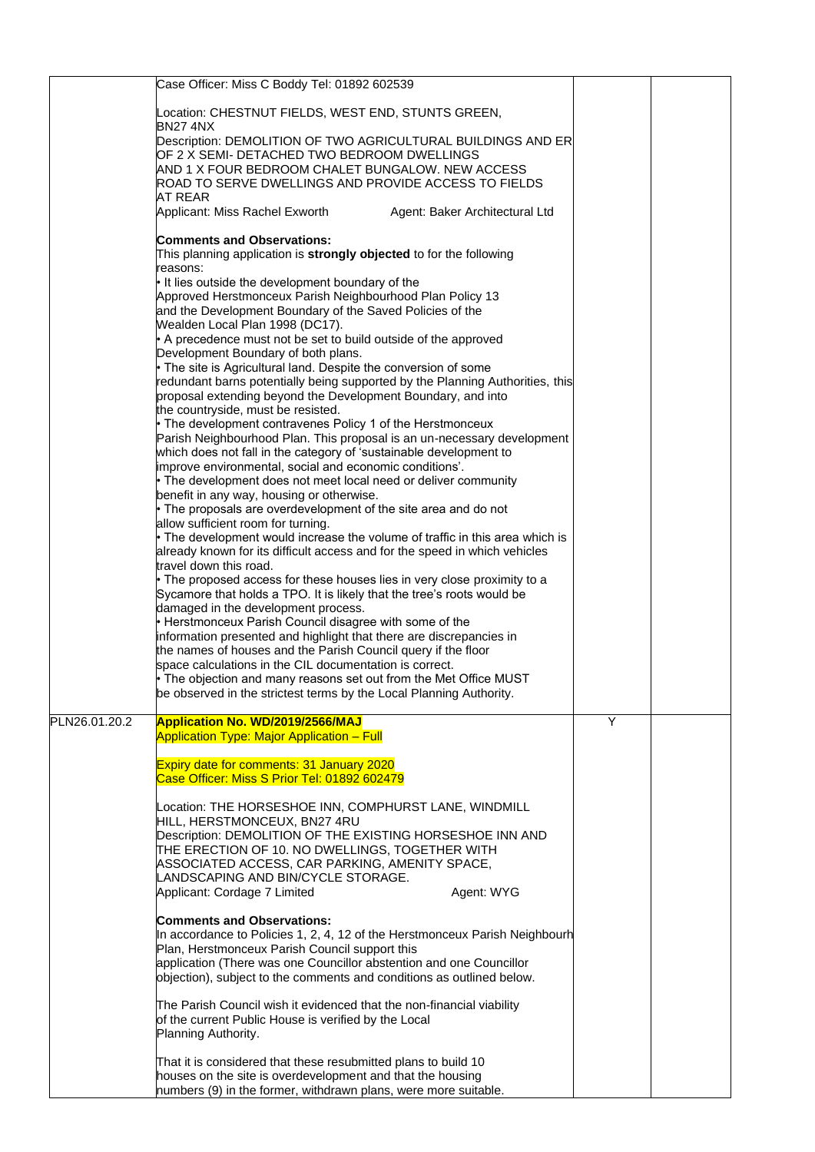|               | Case Officer: Miss C Boddy Tel: 01892 602539                                                                                                     |   |  |
|---------------|--------------------------------------------------------------------------------------------------------------------------------------------------|---|--|
|               | Location: CHESTNUT FIELDS, WEST END, STUNTS GREEN,                                                                                               |   |  |
|               | BN274NX<br>Description: DEMOLITION OF TWO AGRICULTURAL BUILDINGS AND ER                                                                          |   |  |
|               | OF 2 X SEMI- DETACHED TWO BEDROOM DWELLINGS                                                                                                      |   |  |
|               | AND 1 X FOUR BEDROOM CHALET BUNGALOW. NEW ACCESS                                                                                                 |   |  |
|               | ROAD TO SERVE DWELLINGS AND PROVIDE ACCESS TO FIELDS                                                                                             |   |  |
|               | AT REAR<br>Applicant: Miss Rachel Exworth<br>Agent: Baker Architectural Ltd                                                                      |   |  |
|               |                                                                                                                                                  |   |  |
|               | <b>Comments and Observations:</b>                                                                                                                |   |  |
|               | This planning application is strongly objected to for the following<br>reasons:                                                                  |   |  |
|               | It lies outside the development boundary of the                                                                                                  |   |  |
|               | Approved Herstmonceux Parish Neighbourhood Plan Policy 13                                                                                        |   |  |
|               | and the Development Boundary of the Saved Policies of the<br>Wealden Local Plan 1998 (DC17).                                                     |   |  |
|               | • A precedence must not be set to build outside of the approved                                                                                  |   |  |
|               | Development Boundary of both plans.                                                                                                              |   |  |
|               | • The site is Agricultural land. Despite the conversion of some                                                                                  |   |  |
|               | redundant barns potentially being supported by the Planning Authorities, this<br>proposal extending beyond the Development Boundary, and into    |   |  |
|               | the countryside, must be resisted.                                                                                                               |   |  |
|               | • The development contravenes Policy 1 of the Herstmonceux                                                                                       |   |  |
|               | Parish Neighbourhood Plan. This proposal is an un-necessary development<br>which does not fall in the category of 'sustainable development to    |   |  |
|               | improve environmental, social and economic conditions'.                                                                                          |   |  |
|               | • The development does not meet local need or deliver community                                                                                  |   |  |
|               | benefit in any way, housing or otherwise.<br>The proposals are overdevelopment of the site area and do not                                       |   |  |
|               | allow sufficient room for turning.                                                                                                               |   |  |
|               | • The development would increase the volume of traffic in this area which is                                                                     |   |  |
|               | already known for its difficult access and for the speed in which vehicles<br>travel down this road.                                             |   |  |
|               | • The proposed access for these houses lies in very close proximity to a                                                                         |   |  |
|               | Sycamore that holds a TPO. It is likely that the tree's roots would be                                                                           |   |  |
|               | damaged in the development process.<br>• Herstmonceux Parish Council disagree with some of the                                                   |   |  |
|               | information presented and highlight that there are discrepancies in                                                                              |   |  |
|               | the names of houses and the Parish Council query if the floor                                                                                    |   |  |
|               | space calculations in the CIL documentation is correct.                                                                                          |   |  |
|               | $\bullet$ The objection and many reasons set out from the Met Office MUST<br>be observed in the strictest terms by the Local Planning Authority. |   |  |
|               |                                                                                                                                                  |   |  |
| PLN26.01.20.2 | <b>Application No. WD/2019/2566/MAJ</b>                                                                                                          | Y |  |
|               | <b>Application Type: Major Application - Full</b>                                                                                                |   |  |
|               | <b>Expiry date for comments: 31 January 2020</b>                                                                                                 |   |  |
|               | Case Officer: Miss S Prior Tel: 01892 602479                                                                                                     |   |  |
|               | Location: THE HORSESHOE INN, COMPHURST LANE, WINDMILL                                                                                            |   |  |
|               | HILL, HERSTMONCEUX, BN27 4RU                                                                                                                     |   |  |
|               | Description: DEMOLITION OF THE EXISTING HORSESHOE INN AND                                                                                        |   |  |
|               | THE ERECTION OF 10. NO DWELLINGS, TOGETHER WITH<br>ASSOCIATED ACCESS, CAR PARKING, AMENITY SPACE,                                                |   |  |
|               | LANDSCAPING AND BIN/CYCLE STORAGE.                                                                                                               |   |  |
|               | Applicant: Cordage 7 Limited<br>Agent: WYG                                                                                                       |   |  |
|               | <b>Comments and Observations:</b>                                                                                                                |   |  |
|               | In accordance to Policies 1, 2, 4, 12 of the Herstmonceux Parish Neighbourh                                                                      |   |  |
|               | Plan, Herstmonceux Parish Council support this                                                                                                   |   |  |
|               | application (There was one Councillor abstention and one Councillor<br>objection), subject to the comments and conditions as outlined below.     |   |  |
|               |                                                                                                                                                  |   |  |
|               | The Parish Council wish it evidenced that the non-financial viability                                                                            |   |  |
|               | of the current Public House is verified by the Local<br>Planning Authority.                                                                      |   |  |
|               |                                                                                                                                                  |   |  |
|               | That it is considered that these resubmitted plans to build 10                                                                                   |   |  |
|               | houses on the site is overdevelopment and that the housing<br>numbers (9) in the former, withdrawn plans, were more suitable.                    |   |  |
|               |                                                                                                                                                  |   |  |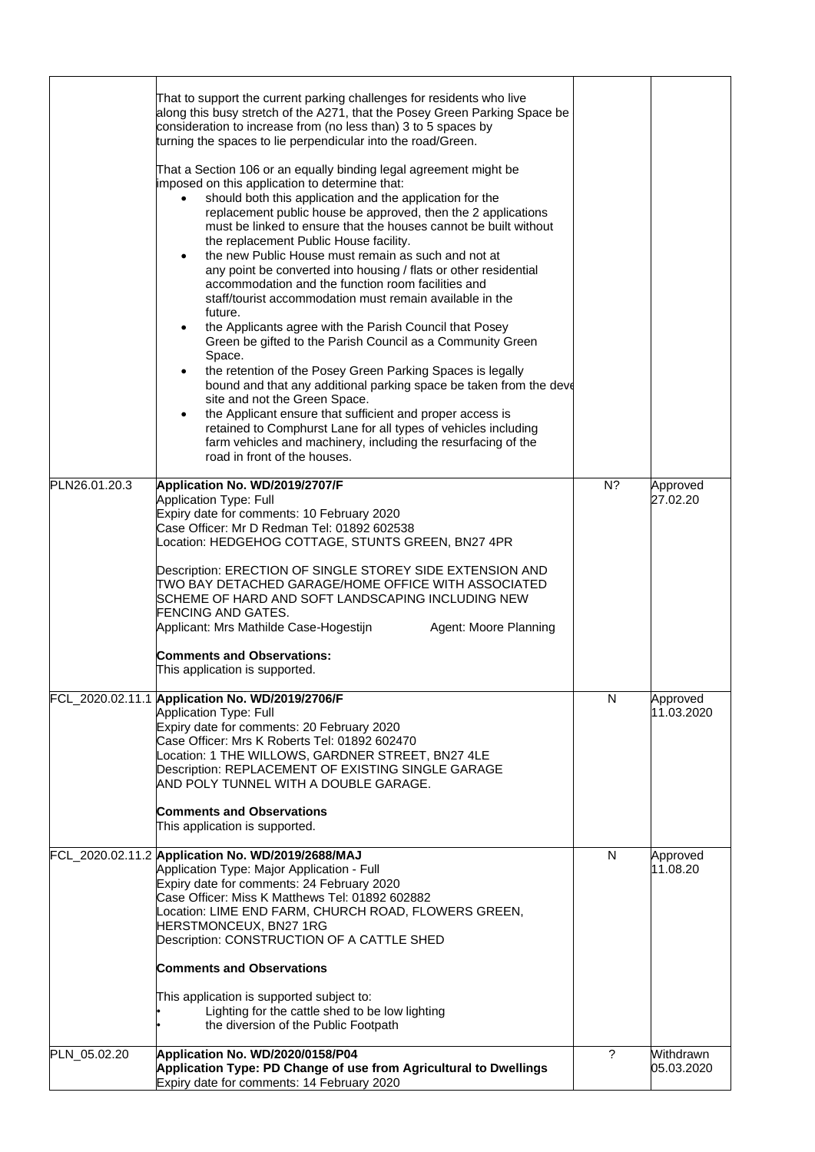|               | That to support the current parking challenges for residents who live<br>along this busy stretch of the A271, that the Posey Green Parking Space be<br>consideration to increase from (no less than) 3 to 5 spaces by<br>turning the spaces to lie perpendicular into the road/Green.<br>That a Section 106 or an equally binding legal agreement might be<br>imposed on this application to determine that:<br>should both this application and the application for the<br>$\bullet$<br>replacement public house be approved, then the 2 applications<br>must be linked to ensure that the houses cannot be built without<br>the replacement Public House facility.<br>the new Public House must remain as such and not at<br>$\bullet$<br>any point be converted into housing / flats or other residential<br>accommodation and the function room facilities and<br>staff/tourist accommodation must remain available in the<br>future.<br>the Applicants agree with the Parish Council that Posey<br>Green be gifted to the Parish Council as a Community Green<br>Space.<br>the retention of the Posey Green Parking Spaces is legally<br>$\bullet$<br>bound and that any additional parking space be taken from the deve<br>site and not the Green Space.<br>the Applicant ensure that sufficient and proper access is<br>retained to Comphurst Lane for all types of vehicles including<br>farm vehicles and machinery, including the resurfacing of the<br>road in front of the houses. |       |                         |
|---------------|------------------------------------------------------------------------------------------------------------------------------------------------------------------------------------------------------------------------------------------------------------------------------------------------------------------------------------------------------------------------------------------------------------------------------------------------------------------------------------------------------------------------------------------------------------------------------------------------------------------------------------------------------------------------------------------------------------------------------------------------------------------------------------------------------------------------------------------------------------------------------------------------------------------------------------------------------------------------------------------------------------------------------------------------------------------------------------------------------------------------------------------------------------------------------------------------------------------------------------------------------------------------------------------------------------------------------------------------------------------------------------------------------------------------------------------------------------------------------------------------|-------|-------------------------|
| PLN26.01.20.3 | Application No. WD/2019/2707/F                                                                                                                                                                                                                                                                                                                                                                                                                                                                                                                                                                                                                                                                                                                                                                                                                                                                                                                                                                                                                                                                                                                                                                                                                                                                                                                                                                                                                                                                 | $N$ ? | Approved                |
|               | <b>Application Type: Full</b><br>Expiry date for comments: 10 February 2020<br>Case Officer: Mr D Redman Tel: 01892 602538<br>Location: HEDGEHOG COTTAGE, STUNTS GREEN, BN27 4PR<br>Description: ERECTION OF SINGLE STOREY SIDE EXTENSION AND<br>TWO BAY DETACHED GARAGE/HOME OFFICE WITH ASSOCIATED<br>SCHEME OF HARD AND SOFT LANDSCAPING INCLUDING NEW<br>FENCING AND GATES.<br>Applicant: Mrs Mathilde Case-Hogestijn<br>Agent: Moore Planning<br><b>Comments and Observations:</b><br>This application is supported.<br>FCL_2020.02.11.1 Application No. WD/2019/2706/F                                                                                                                                                                                                                                                                                                                                                                                                                                                                                                                                                                                                                                                                                                                                                                                                                                                                                                                   | N     | 27.02.20                |
|               | Application Type: Full                                                                                                                                                                                                                                                                                                                                                                                                                                                                                                                                                                                                                                                                                                                                                                                                                                                                                                                                                                                                                                                                                                                                                                                                                                                                                                                                                                                                                                                                         |       | Approved<br>11.03.2020  |
|               | Expiry date for comments: 20 February 2020<br>Case Officer: Mrs K Roberts Tel: 01892 602470<br>Location: 1 THE WILLOWS, GARDNER STREET, BN27 4LE<br>Description: REPLACEMENT OF EXISTING SINGLE GARAGE<br>AND POLY TUNNEL WITH A DOUBLE GARAGE.<br><b>Comments and Observations</b><br>This application is supported.                                                                                                                                                                                                                                                                                                                                                                                                                                                                                                                                                                                                                                                                                                                                                                                                                                                                                                                                                                                                                                                                                                                                                                          |       |                         |
|               | FCL 2020.02.11.2 Application No. WD/2019/2688/MAJ<br>Application Type: Major Application - Full<br>Expiry date for comments: 24 February 2020<br>Case Officer: Miss K Matthews Tel: 01892 602882<br>Location: LIME END FARM, CHURCH ROAD, FLOWERS GREEN,<br>HERSTMONCEUX, BN27 1RG<br>Description: CONSTRUCTION OF A CATTLE SHED<br><b>Comments and Observations</b><br>This application is supported subject to:<br>Lighting for the cattle shed to be low lighting<br>the diversion of the Public Footpath                                                                                                                                                                                                                                                                                                                                                                                                                                                                                                                                                                                                                                                                                                                                                                                                                                                                                                                                                                                   | N     | Approved<br>11.08.20    |
| PLN_05.02.20  | Application No. WD/2020/0158/P04<br>Application Type: PD Change of use from Agricultural to Dwellings<br>Expiry date for comments: 14 February 2020                                                                                                                                                                                                                                                                                                                                                                                                                                                                                                                                                                                                                                                                                                                                                                                                                                                                                                                                                                                                                                                                                                                                                                                                                                                                                                                                            | ?     | Withdrawn<br>05.03.2020 |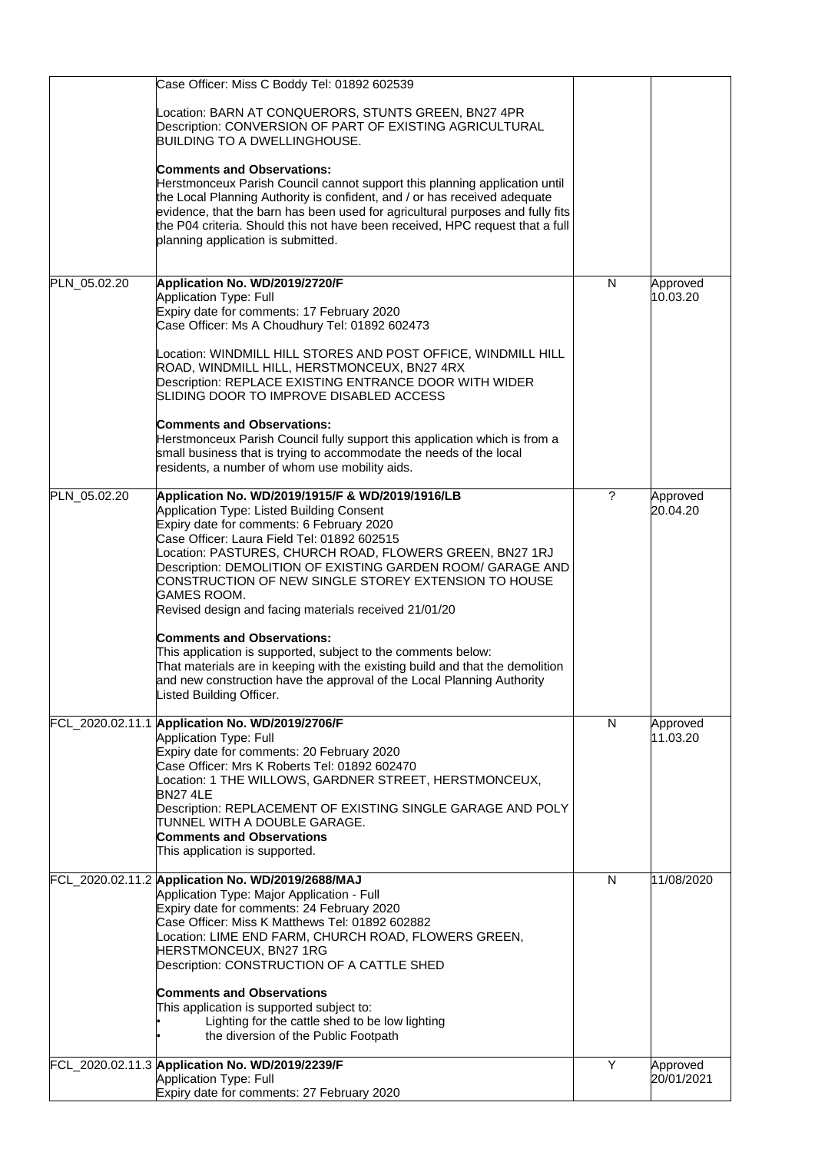|              | Case Officer: Miss C Boddy Tel: 01892 602539                                                                                                                                                                                                                                                                                                                                                                                                                                                                                                                                                                                                                                                                                                      |        |                        |
|--------------|---------------------------------------------------------------------------------------------------------------------------------------------------------------------------------------------------------------------------------------------------------------------------------------------------------------------------------------------------------------------------------------------------------------------------------------------------------------------------------------------------------------------------------------------------------------------------------------------------------------------------------------------------------------------------------------------------------------------------------------------------|--------|------------------------|
|              | Location: BARN AT CONQUERORS, STUNTS GREEN, BN27 4PR<br>Description: CONVERSION OF PART OF EXISTING AGRICULTURAL<br><b>BUILDING TO A DWELLINGHOUSE.</b><br><b>Comments and Observations:</b><br>Herstmonceux Parish Council cannot support this planning application until<br>the Local Planning Authority is confident, and / or has received adequate<br>evidence, that the barn has been used for agricultural purposes and fully fits<br>the P04 criteria. Should this not have been received, HPC request that a full<br>planning application is submitted.                                                                                                                                                                                  |        |                        |
| PLN_05.02.20 | Application No. WD/2019/2720/F<br>Application Type: Full<br>Expiry date for comments: 17 February 2020<br>Case Officer: Ms A Choudhury Tel: 01892 602473<br>Location: WINDMILL HILL STORES AND POST OFFICE, WINDMILL HILL<br>ROAD, WINDMILL HILL, HERSTMONCEUX, BN27 4RX<br>Description: REPLACE EXISTING ENTRANCE DOOR WITH WIDER<br>SLIDING DOOR TO IMPROVE DISABLED ACCESS<br><b>Comments and Observations:</b><br>Herstmonceux Parish Council fully support this application which is from a<br>small business that is trying to accommodate the needs of the local<br>residents, a number of whom use mobility aids.                                                                                                                         | N      | Approved<br>10.03.20   |
| PLN_05.02.20 | Application No. WD/2019/1915/F & WD/2019/1916/LB<br>Application Type: Listed Building Consent<br>Expiry date for comments: 6 February 2020<br>Case Officer: Laura Field Tel: 01892 602515<br>Location: PASTURES, CHURCH ROAD, FLOWERS GREEN, BN27 1RJ<br>Description: DEMOLITION OF EXISTING GARDEN ROOM/ GARAGE AND<br>CONSTRUCTION OF NEW SINGLE STOREY EXTENSION TO HOUSE<br>GAMES ROOM.<br>Revised design and facing materials received 21/01/20<br><b>Comments and Observations:</b><br>This application is supported, subject to the comments below:<br>That materials are in keeping with the existing build and that the demolition<br>and new construction have the approval of the Local Planning Authority<br>Listed Building Officer. | ?      | Approved<br>20.04.20   |
|              | FCL_2020.02.11.1 Application No. WD/2019/2706/F<br><b>Application Type: Full</b><br>Expiry date for comments: 20 February 2020<br>Case Officer: Mrs K Roberts Tel: 01892 602470<br>Location: 1 THE WILLOWS, GARDNER STREET, HERSTMONCEUX,<br><b>BN27 4LE</b><br>Description: REPLACEMENT OF EXISTING SINGLE GARAGE AND POLY<br>TUNNEL WITH A DOUBLE GARAGE.<br><b>Comments and Observations</b><br>This application is supported.                                                                                                                                                                                                                                                                                                                 | N      | Approved<br>11.03.20   |
|              | FCL_2020.02.11.2 Application No. WD/2019/2688/MAJ<br>Application Type: Major Application - Full<br>Expiry date for comments: 24 February 2020<br>Case Officer: Miss K Matthews Tel: 01892 602882<br>Location: LIME END FARM, CHURCH ROAD, FLOWERS GREEN,<br>HERSTMONCEUX, BN27 1RG<br>Description: CONSTRUCTION OF A CATTLE SHED<br>Comments and Observations<br>This application is supported subject to:<br>Lighting for the cattle shed to be low lighting<br>the diversion of the Public Footpath<br>FCL_2020.02.11.3 Application No. WD/2019/2239/F                                                                                                                                                                                          | N<br>Y | 11/08/2020             |
|              | Application Type: Full<br>Expiry date for comments: 27 February 2020                                                                                                                                                                                                                                                                                                                                                                                                                                                                                                                                                                                                                                                                              |        | Approved<br>20/01/2021 |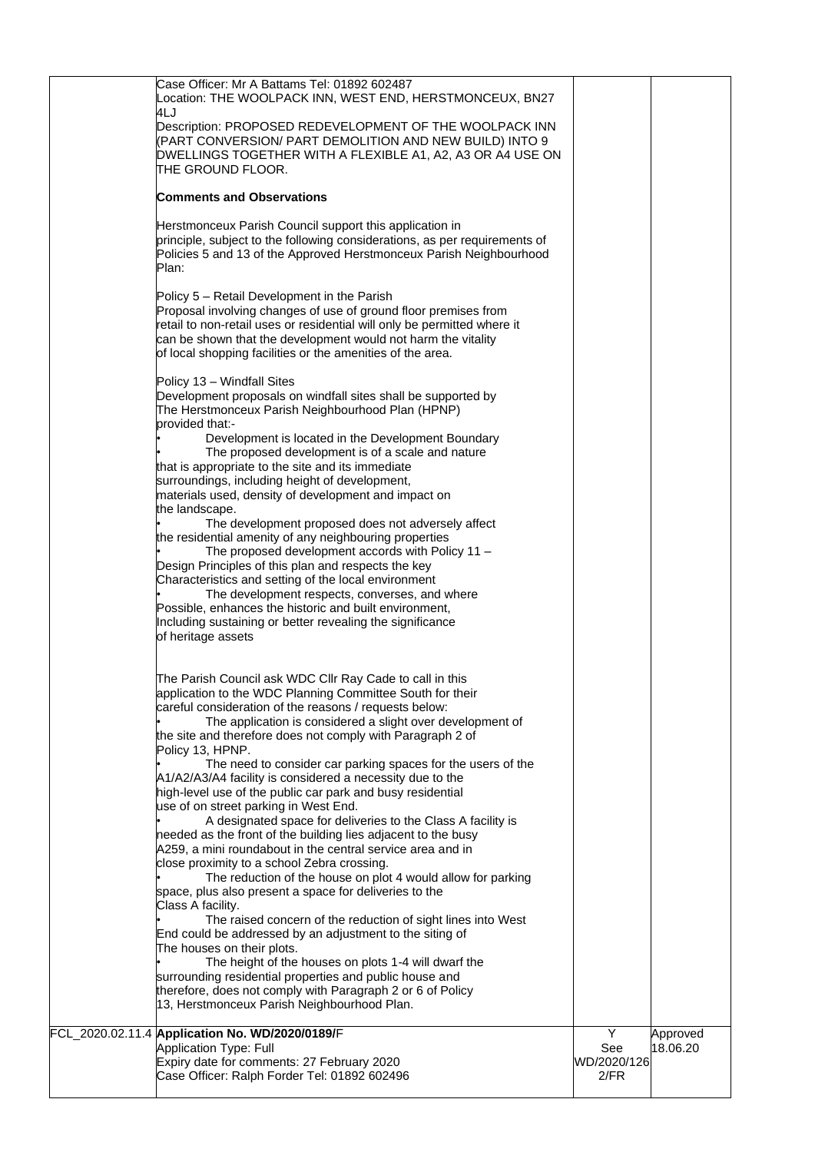| Application Type: Full<br>Expiry date for comments: 27 February 2020<br>Case Officer: Ralph Forder Tel: 01892 602496                                                                                                                                                                                                                                                                                                                                                                                                                                                                                                                                                                                                                                                                                                                                                                                                                               | See<br>WD/2020/126<br>2/FR | Approved<br>18.06.20 |
|----------------------------------------------------------------------------------------------------------------------------------------------------------------------------------------------------------------------------------------------------------------------------------------------------------------------------------------------------------------------------------------------------------------------------------------------------------------------------------------------------------------------------------------------------------------------------------------------------------------------------------------------------------------------------------------------------------------------------------------------------------------------------------------------------------------------------------------------------------------------------------------------------------------------------------------------------|----------------------------|----------------------|
| A259, a mini roundabout in the central service area and in<br>close proximity to a school Zebra crossing.<br>The reduction of the house on plot 4 would allow for parking<br>space, plus also present a space for deliveries to the<br>Class A facility.<br>The raised concern of the reduction of sight lines into West<br>End could be addressed by an adjustment to the siting of<br>The houses on their plots.<br>The height of the houses on plots 1-4 will dwarf the<br>surrounding residential properties and public house and<br>therefore, does not comply with Paragraph 2 or 6 of Policy<br>13, Herstmonceux Parish Neighbourhood Plan.<br>FCL_2020.02.11.4 Application No. WD/2020/0189/F                                                                                                                                                                                                                                              | Y                          |                      |
| The Parish Council ask WDC Cllr Ray Cade to call in this<br>application to the WDC Planning Committee South for their<br>careful consideration of the reasons / requests below:<br>The application is considered a slight over development of<br>the site and therefore does not comply with Paragraph 2 of<br>Policy 13, HPNP.<br>The need to consider car parking spaces for the users of the<br>A1/A2/A3/A4 facility is considered a necessity due to the<br>high-level use of the public car park and busy residential<br>use of on street parking in West End.<br>A designated space for deliveries to the Class A facility is<br>needed as the front of the building lies adjacent to the busy                                                                                                                                                                                                                                               |                            |                      |
| Policy 13 - Windfall Sites<br>Development proposals on windfall sites shall be supported by<br>The Herstmonceux Parish Neighbourhood Plan (HPNP)<br>provided that:-<br>Development is located in the Development Boundary<br>The proposed development is of a scale and nature<br>that is appropriate to the site and its immediate<br>surroundings, including height of development,<br>materials used, density of development and impact on<br>the landscape.<br>The development proposed does not adversely affect<br>the residential amenity of any neighbouring properties<br>The proposed development accords with Policy 11 -<br>Design Principles of this plan and respects the key<br>Characteristics and setting of the local environment<br>The development respects, converses, and where<br>Possible, enhances the historic and built environment,<br>Including sustaining or better revealing the significance<br>of heritage assets |                            |                      |
| Herstmonceux Parish Council support this application in<br>principle, subject to the following considerations, as per requirements of<br>Policies 5 and 13 of the Approved Herstmonceux Parish Neighbourhood<br>Plan:<br>Policy 5 - Retail Development in the Parish<br>Proposal involving changes of use of ground floor premises from<br>retail to non-retail uses or residential will only be permitted where it<br>can be shown that the development would not harm the vitality<br>of local shopping facilities or the amenities of the area.                                                                                                                                                                                                                                                                                                                                                                                                 |                            |                      |
| 4LJ<br>Description: PROPOSED REDEVELOPMENT OF THE WOOLPACK INN<br>(PART CONVERSION/ PART DEMOLITION AND NEW BUILD) INTO 9<br>DWELLINGS TOGETHER WITH A FLEXIBLE A1, A2, A3 OR A4 USE ON<br>THE GROUND FLOOR.<br><b>Comments and Observations</b>                                                                                                                                                                                                                                                                                                                                                                                                                                                                                                                                                                                                                                                                                                   |                            |                      |
| Case Officer: Mr A Battams Tel: 01892 602487<br>Location: THE WOOLPACK INN, WEST END, HERSTMONCEUX, BN27                                                                                                                                                                                                                                                                                                                                                                                                                                                                                                                                                                                                                                                                                                                                                                                                                                           |                            |                      |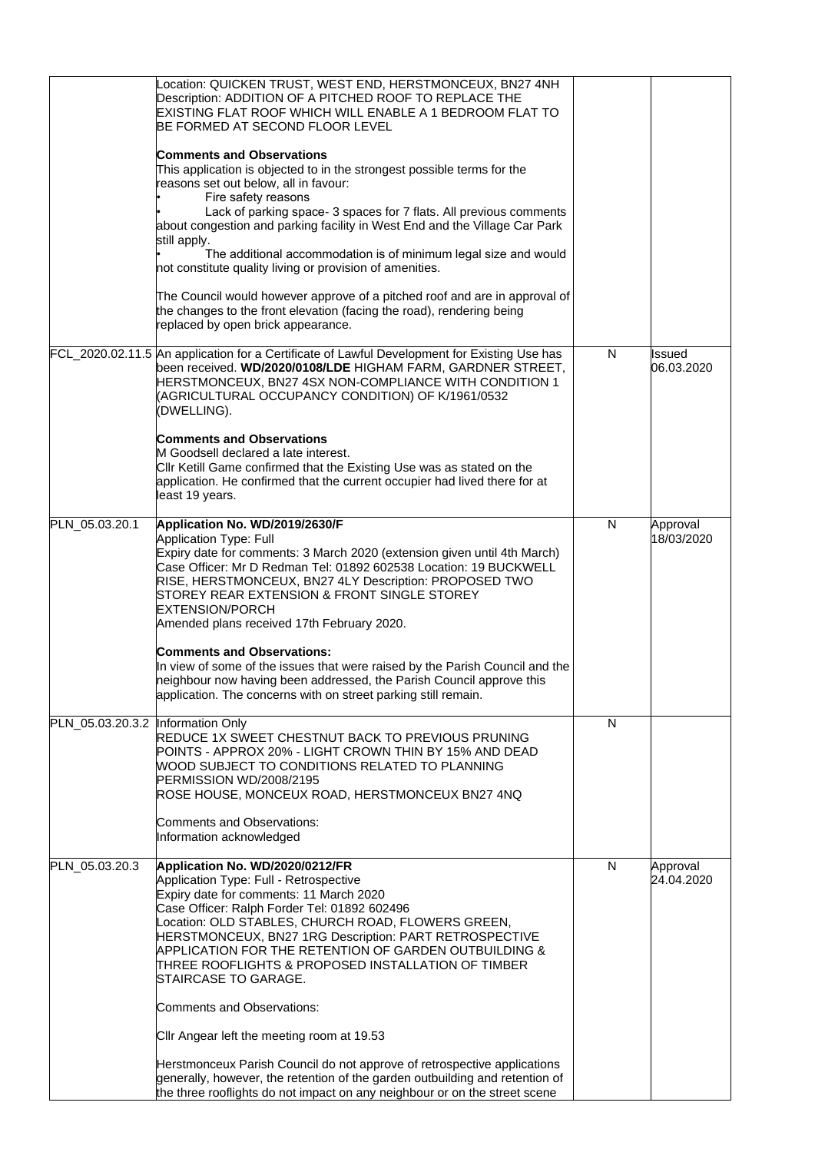|                                   | Location: QUICKEN TRUST, WEST END, HERSTMONCEUX, BN27 4NH<br>Description: ADDITION OF A PITCHED ROOF TO REPLACE THE<br>EXISTING FLAT ROOF WHICH WILL ENABLE A 1 BEDROOM FLAT TO<br>BE FORMED AT SECOND FLOOR LEVEL                                                                                                                                                                                                          |   |                        |
|-----------------------------------|-----------------------------------------------------------------------------------------------------------------------------------------------------------------------------------------------------------------------------------------------------------------------------------------------------------------------------------------------------------------------------------------------------------------------------|---|------------------------|
|                                   | <b>Comments and Observations</b><br>This application is objected to in the strongest possible terms for the<br>reasons set out below, all in favour:<br>Fire safety reasons                                                                                                                                                                                                                                                 |   |                        |
|                                   | Lack of parking space- 3 spaces for 7 flats. All previous comments<br>about congestion and parking facility in West End and the Village Car Park<br>still apply.                                                                                                                                                                                                                                                            |   |                        |
|                                   | The additional accommodation is of minimum legal size and would<br>not constitute quality living or provision of amenities.                                                                                                                                                                                                                                                                                                 |   |                        |
|                                   | The Council would however approve of a pitched roof and are in approval of<br>the changes to the front elevation (facing the road), rendering being<br>replaced by open brick appearance.                                                                                                                                                                                                                                   |   |                        |
|                                   | FCL_2020.02.11.5 An application for a Certificate of Lawful Development for Existing Use has<br>been received. WD/2020/0108/LDE HIGHAM FARM, GARDNER STREET,<br>HERSTMONCEUX, BN27 4SX NON-COMPLIANCE WITH CONDITION 1<br>(AGRICULTURAL OCCUPANCY CONDITION) OF K/1961/0532<br>(DWELLING).                                                                                                                                  | N | Issued<br>06.03.2020   |
|                                   | <b>Comments and Observations</b><br>M Goodsell declared a late interest.<br>Cllr Ketill Game confirmed that the Existing Use was as stated on the<br>application. He confirmed that the current occupier had lived there for at<br>least 19 years.                                                                                                                                                                          |   |                        |
| PLN_05.03.20.1                    | Application No. WD/2019/2630/F<br><b>Application Type: Full</b><br>Expiry date for comments: 3 March 2020 (extension given until 4th March)<br>Case Officer: Mr D Redman Tel: 01892 602538 Location: 19 BUCKWELL<br>RISE, HERSTMONCEUX, BN27 4LY Description: PROPOSED TWO<br>STOREY REAR EXTENSION & FRONT SINGLE STOREY<br><b>EXTENSION/PORCH</b><br>Amended plans received 17th February 2020.                           | N | Approval<br>18/03/2020 |
|                                   | <b>Comments and Observations:</b><br>In view of some of the issues that were raised by the Parish Council and the<br>neighbour now having been addressed, the Parish Council approve this<br>application. The concerns with on street parking still remain.                                                                                                                                                                 |   |                        |
| PLN_05.03.20.3.2 Information Only | REDUCE 1X SWEET CHESTNUT BACK TO PREVIOUS PRUNING<br>POINTS - APPROX 20% - LIGHT CROWN THIN BY 15% AND DEAD<br>WOOD SUBJECT TO CONDITIONS RELATED TO PLANNING<br>PERMISSION WD/2008/2195<br>ROSE HOUSE, MONCEUX ROAD, HERSTMONCEUX BN27 4NQ                                                                                                                                                                                 | N |                        |
|                                   | Comments and Observations:<br>Information acknowledged                                                                                                                                                                                                                                                                                                                                                                      |   |                        |
| PLN_05.03.20.3                    | Application No. WD/2020/0212/FR<br>Application Type: Full - Retrospective<br>Expiry date for comments: 11 March 2020<br>Case Officer: Ralph Forder Tel: 01892 602496<br>cocation: OLD STABLES, CHURCH ROAD, FLOWERS GREEN,<br>HERSTMONCEUX, BN27 1RG Description: PART RETROSPECTIVE<br>APPLICATION FOR THE RETENTION OF GARDEN OUTBUILDING &<br>THREE ROOFLIGHTS & PROPOSED INSTALLATION OF TIMBER<br>STAIRCASE TO GARAGE. | N | Approval<br>24.04.2020 |
|                                   | <b>Comments and Observations:</b>                                                                                                                                                                                                                                                                                                                                                                                           |   |                        |
|                                   | CIIr Angear left the meeting room at 19.53                                                                                                                                                                                                                                                                                                                                                                                  |   |                        |
|                                   | Herstmonceux Parish Council do not approve of retrospective applications<br>generally, however, the retention of the garden outbuilding and retention of<br>the three rooflights do not impact on any neighbour or on the street scene                                                                                                                                                                                      |   |                        |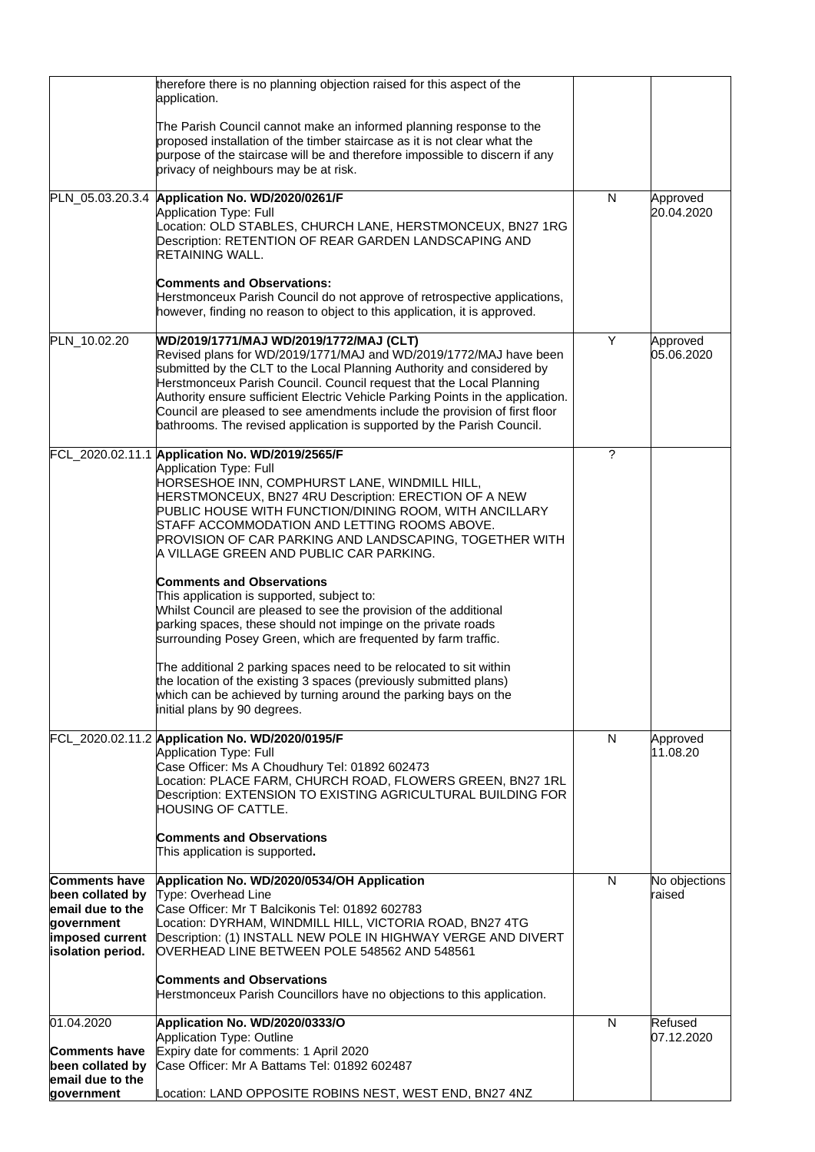|                                                                                                                    | therefore there is no planning objection raised for this aspect of the<br>application.                                                                                                                                                                                                                                                                                                                                                                                                                    |   |                         |
|--------------------------------------------------------------------------------------------------------------------|-----------------------------------------------------------------------------------------------------------------------------------------------------------------------------------------------------------------------------------------------------------------------------------------------------------------------------------------------------------------------------------------------------------------------------------------------------------------------------------------------------------|---|-------------------------|
|                                                                                                                    | The Parish Council cannot make an informed planning response to the<br>proposed installation of the timber staircase as it is not clear what the<br>purpose of the staircase will be and therefore impossible to discern if any<br>privacy of neighbours may be at risk.                                                                                                                                                                                                                                  |   |                         |
|                                                                                                                    | PLN_05.03.20.3.4 Application No. WD/2020/0261/F                                                                                                                                                                                                                                                                                                                                                                                                                                                           | N | Approved                |
|                                                                                                                    | Application Type: Full<br>Location: OLD STABLES, CHURCH LANE, HERSTMONCEUX, BN27 1RG<br>Description: RETENTION OF REAR GARDEN LANDSCAPING AND<br>RETAINING WALL.                                                                                                                                                                                                                                                                                                                                          |   | 20.04.2020              |
|                                                                                                                    | <b>Comments and Observations:</b><br>Herstmonceux Parish Council do not approve of retrospective applications,<br>however, finding no reason to object to this application, it is approved.                                                                                                                                                                                                                                                                                                               |   |                         |
| PLN_10.02.20                                                                                                       | WD/2019/1771/MAJ WD/2019/1772/MAJ (CLT)<br>Revised plans for WD/2019/1771/MAJ and WD/2019/1772/MAJ have been<br>submitted by the CLT to the Local Planning Authority and considered by<br>Herstmonceux Parish Council. Council request that the Local Planning<br>Authority ensure sufficient Electric Vehicle Parking Points in the application.<br>Council are pleased to see amendments include the provision of first floor<br>bathrooms. The revised application is supported by the Parish Council. | Y | Approved<br>05.06.2020  |
|                                                                                                                    | FCL_2020.02.11.1 Application No. WD/2019/2565/F<br>Application Type: Full<br>HORSESHOE INN, COMPHURST LANE, WINDMILL HILL,<br>HERSTMONCEUX, BN27 4RU Description: ERECTION OF A NEW<br>PUBLIC HOUSE WITH FUNCTION/DINING ROOM, WITH ANCILLARY<br>STAFF ACCOMMODATION AND LETTING ROOMS ABOVE.<br>PROVISION OF CAR PARKING AND LANDSCAPING, TOGETHER WITH<br>A VILLAGE GREEN AND PUBLIC CAR PARKING.                                                                                                       | ? |                         |
|                                                                                                                    | <b>Comments and Observations</b><br>This application is supported, subject to:<br>Whilst Council are pleased to see the provision of the additional<br>parking spaces, these should not impinge on the private roads<br>surrounding Posey Green, which are frequented by farm traffic.<br>The additional 2 parking spaces need to be relocated to sit within<br>the location of the existing 3 spaces (previously submitted plans)<br>which can be achieved by turning around the parking bays on the     |   |                         |
|                                                                                                                    | initial plans by 90 degrees.                                                                                                                                                                                                                                                                                                                                                                                                                                                                              |   |                         |
|                                                                                                                    | FCL_2020.02.11.2 Application No. WD/2020/0195/F<br><b>Application Type: Full</b><br>Case Officer: Ms A Choudhury Tel: 01892 602473<br>Location: PLACE FARM, CHURCH ROAD, FLOWERS GREEN, BN27 1RL<br>Description: EXTENSION TO EXISTING AGRICULTURAL BUILDING FOR<br><b>HOUSING OF CATTLE.</b>                                                                                                                                                                                                             | N | Approved<br>11.08.20    |
|                                                                                                                    | <b>Comments and Observations</b><br>This application is supported.                                                                                                                                                                                                                                                                                                                                                                                                                                        |   |                         |
| <b>Comments have</b><br>been collated by<br>email due to the<br>government<br>imposed current<br>isolation period. | Application No. WD/2020/0534/OH Application<br>Type: Overhead Line<br>Case Officer: Mr T Balcikonis Tel: 01892 602783<br>Location: DYRHAM, WINDMILL HILL, VICTORIA ROAD, BN27 4TG<br>Description: (1) INSTALL NEW POLE IN HIGHWAY VERGE AND DIVERT<br>OVERHEAD LINE BETWEEN POLE 548562 AND 548561                                                                                                                                                                                                        | N | No objections<br>raised |
|                                                                                                                    | <b>Comments and Observations</b><br>Herstmonceux Parish Councillors have no objections to this application.                                                                                                                                                                                                                                                                                                                                                                                               |   |                         |
| 01.04.2020                                                                                                         | Application No. WD/2020/0333/O                                                                                                                                                                                                                                                                                                                                                                                                                                                                            | N | Refused                 |
| <b>Comments have</b><br>been collated by<br>email due to the                                                       | Application Type: Outline<br>Expiry date for comments: 1 April 2020<br>Case Officer: Mr A Battams Tel: 01892 602487                                                                                                                                                                                                                                                                                                                                                                                       |   | 07.12.2020              |
| government                                                                                                         | Location: LAND OPPOSITE ROBINS NEST, WEST END, BN27 4NZ                                                                                                                                                                                                                                                                                                                                                                                                                                                   |   |                         |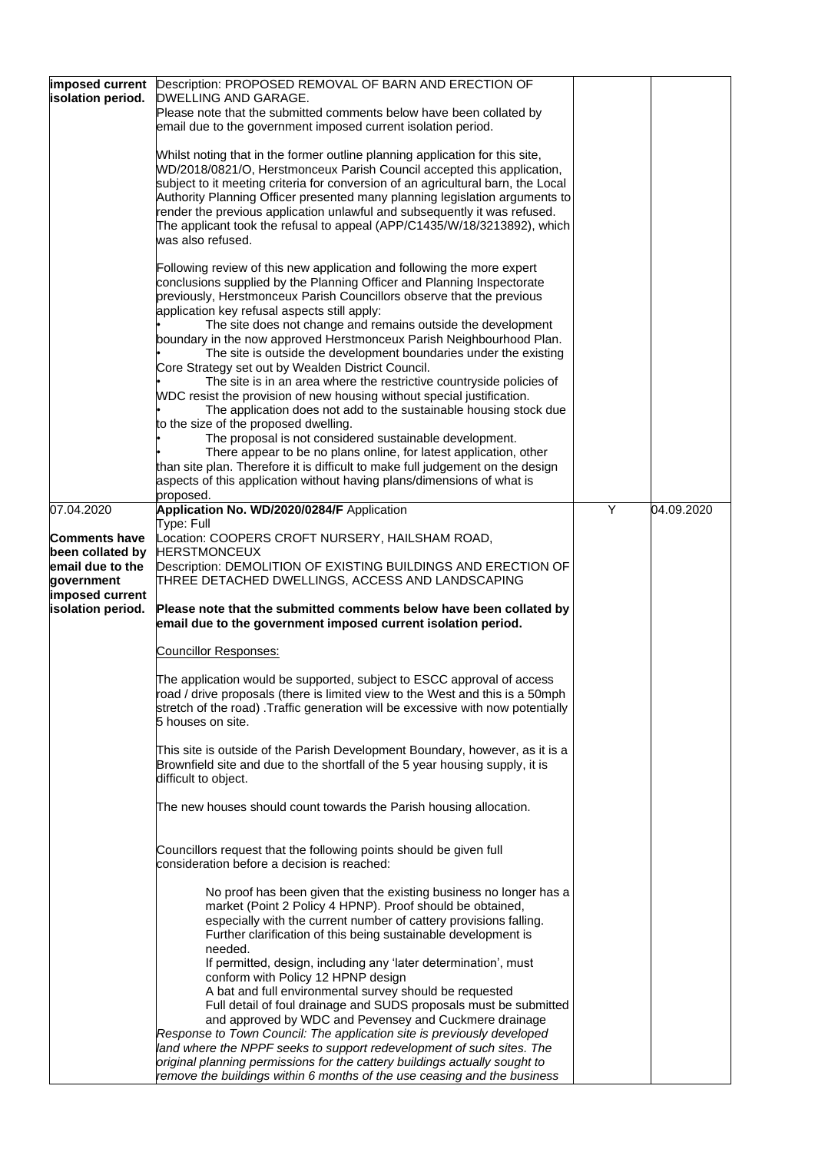| imposed current<br>isolation period.              | Description: PROPOSED REMOVAL OF BARN AND ERECTION OF<br>DWELLING AND GARAGE.<br>Please note that the submitted comments below have been collated by                                                                                                                                                                                                                                                                                                                                                                                                                                                                                                                                                                                                                                                                                                                                                                                                                                                                                                                                                     |   |            |
|---------------------------------------------------|----------------------------------------------------------------------------------------------------------------------------------------------------------------------------------------------------------------------------------------------------------------------------------------------------------------------------------------------------------------------------------------------------------------------------------------------------------------------------------------------------------------------------------------------------------------------------------------------------------------------------------------------------------------------------------------------------------------------------------------------------------------------------------------------------------------------------------------------------------------------------------------------------------------------------------------------------------------------------------------------------------------------------------------------------------------------------------------------------------|---|------------|
|                                                   | email due to the government imposed current isolation period.                                                                                                                                                                                                                                                                                                                                                                                                                                                                                                                                                                                                                                                                                                                                                                                                                                                                                                                                                                                                                                            |   |            |
|                                                   | Whilst noting that in the former outline planning application for this site,<br>WD/2018/0821/O, Herstmonceux Parish Council accepted this application,<br>subject to it meeting criteria for conversion of an agricultural barn, the Local<br>Authority Planning Officer presented many planning legislation arguments to<br>render the previous application unlawful and subsequently it was refused.<br>The applicant took the refusal to appeal (APP/C1435/W/18/3213892), which<br>was also refused.                                                                                                                                                                                                                                                                                                                                                                                                                                                                                                                                                                                                  |   |            |
|                                                   | Following review of this new application and following the more expert<br>conclusions supplied by the Planning Officer and Planning Inspectorate<br>previously, Herstmonceux Parish Councillors observe that the previous<br>application key refusal aspects still apply:<br>The site does not change and remains outside the development<br>boundary in the now approved Herstmonceux Parish Neighbourhood Plan.<br>The site is outside the development boundaries under the existing<br>Core Strategy set out by Wealden District Council.<br>The site is in an area where the restrictive countryside policies of<br>WDC resist the provision of new housing without special justification.<br>The application does not add to the sustainable housing stock due<br>to the size of the proposed dwelling.<br>The proposal is not considered sustainable development.<br>There appear to be no plans online, for latest application, other<br>than site plan. Therefore it is difficult to make full judgement on the design<br>aspects of this application without having plans/dimensions of what is |   |            |
| 07.04.2020                                        | proposed.<br>Application No. WD/2020/0284/F Application                                                                                                                                                                                                                                                                                                                                                                                                                                                                                                                                                                                                                                                                                                                                                                                                                                                                                                                                                                                                                                                  | Y | 04.09.2020 |
| <b>Comments have</b>                              | Type: Full<br>Location: COOPERS CROFT NURSERY, HAILSHAM ROAD,                                                                                                                                                                                                                                                                                                                                                                                                                                                                                                                                                                                                                                                                                                                                                                                                                                                                                                                                                                                                                                            |   |            |
| been collated by                                  | <b>HERSTMONCEUX</b>                                                                                                                                                                                                                                                                                                                                                                                                                                                                                                                                                                                                                                                                                                                                                                                                                                                                                                                                                                                                                                                                                      |   |            |
| email due to the<br>government<br>imposed current | Description: DEMOLITION OF EXISTING BUILDINGS AND ERECTION OF<br>THREE DETACHED DWELLINGS, ACCESS AND LANDSCAPING                                                                                                                                                                                                                                                                                                                                                                                                                                                                                                                                                                                                                                                                                                                                                                                                                                                                                                                                                                                        |   |            |
| isolation period.                                 | Please note that the submitted comments below have been collated by<br>email due to the government imposed current isolation period.                                                                                                                                                                                                                                                                                                                                                                                                                                                                                                                                                                                                                                                                                                                                                                                                                                                                                                                                                                     |   |            |
|                                                   | <b>Councillor Responses:</b>                                                                                                                                                                                                                                                                                                                                                                                                                                                                                                                                                                                                                                                                                                                                                                                                                                                                                                                                                                                                                                                                             |   |            |
|                                                   | The application would be supported, subject to ESCC approval of access<br>road / drive proposals (there is limited view to the West and this is a 50mph<br>stretch of the road). Traffic generation will be excessive with now potentially<br>5 houses on site.                                                                                                                                                                                                                                                                                                                                                                                                                                                                                                                                                                                                                                                                                                                                                                                                                                          |   |            |
|                                                   | This site is outside of the Parish Development Boundary, however, as it is a<br>Brownfield site and due to the shortfall of the 5 year housing supply, it is<br>difficult to object.                                                                                                                                                                                                                                                                                                                                                                                                                                                                                                                                                                                                                                                                                                                                                                                                                                                                                                                     |   |            |
|                                                   | The new houses should count towards the Parish housing allocation.                                                                                                                                                                                                                                                                                                                                                                                                                                                                                                                                                                                                                                                                                                                                                                                                                                                                                                                                                                                                                                       |   |            |
|                                                   | Councillors request that the following points should be given full<br>consideration before a decision is reached:                                                                                                                                                                                                                                                                                                                                                                                                                                                                                                                                                                                                                                                                                                                                                                                                                                                                                                                                                                                        |   |            |
|                                                   | No proof has been given that the existing business no longer has a<br>market (Point 2 Policy 4 HPNP). Proof should be obtained,<br>especially with the current number of cattery provisions falling.<br>Further clarification of this being sustainable development is<br>needed.<br>If permitted, design, including any 'later determination', must<br>conform with Policy 12 HPNP design<br>A bat and full environmental survey should be requested<br>Full detail of foul drainage and SUDS proposals must be submitted<br>and approved by WDC and Pevensey and Cuckmere drainage<br>Response to Town Council: The application site is previously developed<br>land where the NPPF seeks to support redevelopment of such sites. The<br>original planning permissions for the cattery buildings actually sought to                                                                                                                                                                                                                                                                                    |   |            |
|                                                   | remove the buildings within 6 months of the use ceasing and the business                                                                                                                                                                                                                                                                                                                                                                                                                                                                                                                                                                                                                                                                                                                                                                                                                                                                                                                                                                                                                                 |   |            |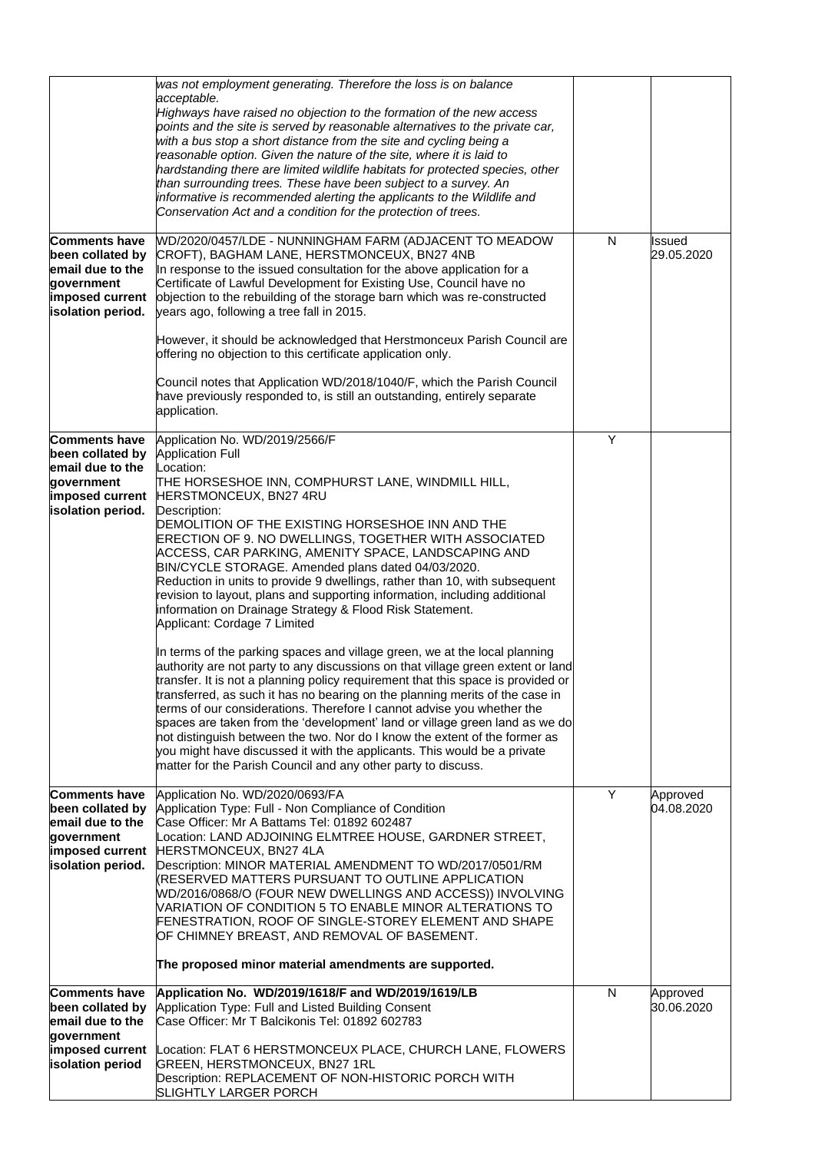|                                                                                                                    | was not employment generating. Therefore the loss is on balance<br>acceptable.<br>Highways have raised no objection to the formation of the new access<br>points and the site is served by reasonable alternatives to the private car,<br>with a bus stop a short distance from the site and cycling being a<br>reasonable option. Given the nature of the site, where it is laid to<br>hardstanding there are limited wildlife habitats for protected species, other<br>than surrounding trees. These have been subject to a survey. An<br>informative is recommended alerting the applicants to the Wildlife and<br>Conservation Act and a condition for the protection of trees.                                                                                                                                                                                                                                                                                                                                                                                                                                                                                                                                                                                                                                                                                              |   |                        |
|--------------------------------------------------------------------------------------------------------------------|----------------------------------------------------------------------------------------------------------------------------------------------------------------------------------------------------------------------------------------------------------------------------------------------------------------------------------------------------------------------------------------------------------------------------------------------------------------------------------------------------------------------------------------------------------------------------------------------------------------------------------------------------------------------------------------------------------------------------------------------------------------------------------------------------------------------------------------------------------------------------------------------------------------------------------------------------------------------------------------------------------------------------------------------------------------------------------------------------------------------------------------------------------------------------------------------------------------------------------------------------------------------------------------------------------------------------------------------------------------------------------|---|------------------------|
| <b>Comments have</b><br>been collated by<br>email due to the<br>government<br>imposed current<br>isolation period. | WD/2020/0457/LDE - NUNNINGHAM FARM (ADJACENT TO MEADOW<br>CROFT), BAGHAM LANE, HERSTMONCEUX, BN27 4NB<br>In response to the issued consultation for the above application for a<br>Certificate of Lawful Development for Existing Use, Council have no<br>objection to the rebuilding of the storage barn which was re-constructed<br>years ago, following a tree fall in 2015.                                                                                                                                                                                                                                                                                                                                                                                                                                                                                                                                                                                                                                                                                                                                                                                                                                                                                                                                                                                                  | N | Issued<br>29.05.2020   |
|                                                                                                                    | However, it should be acknowledged that Herstmonceux Parish Council are<br>offering no objection to this certificate application only.                                                                                                                                                                                                                                                                                                                                                                                                                                                                                                                                                                                                                                                                                                                                                                                                                                                                                                                                                                                                                                                                                                                                                                                                                                           |   |                        |
|                                                                                                                    | Council notes that Application WD/2018/1040/F, which the Parish Council<br>have previously responded to, is still an outstanding, entirely separate<br>application.                                                                                                                                                                                                                                                                                                                                                                                                                                                                                                                                                                                                                                                                                                                                                                                                                                                                                                                                                                                                                                                                                                                                                                                                              |   |                        |
| <b>Comments have</b><br>been collated by<br>email due to the<br>government<br>imposed current<br>isolation period. | Application No. WD/2019/2566/F<br><b>Application Full</b><br>Location:<br>THE HORSESHOE INN, COMPHURST LANE, WINDMILL HILL,<br>HERSTMONCEUX, BN27 4RU<br>Description:<br>DEMOLITION OF THE EXISTING HORSESHOE INN AND THE<br>ERECTION OF 9. NO DWELLINGS, TOGETHER WITH ASSOCIATED<br>ACCESS, CAR PARKING, AMENITY SPACE, LANDSCAPING AND<br>BIN/CYCLE STORAGE. Amended plans dated 04/03/2020.<br>Reduction in units to provide 9 dwellings, rather than 10, with subsequent<br>revision to layout, plans and supporting information, including additional<br>information on Drainage Strategy & Flood Risk Statement.<br>Applicant: Cordage 7 Limited<br>In terms of the parking spaces and village green, we at the local planning<br>authority are not party to any discussions on that village green extent or land<br>transfer. It is not a planning policy requirement that this space is provided or<br>transferred, as such it has no bearing on the planning merits of the case in<br>terms of our considerations. Therefore I cannot advise you whether the<br>spaces are taken from the 'development' land or village green land as we do<br>not distinguish between the two. Nor do I know the extent of the former as<br>you might have discussed it with the applicants. This would be a private<br>matter for the Parish Council and any other party to discuss. | Y |                        |
| <b>Comments have</b><br>been collated by<br>email due to the<br>government<br>imposed current<br>isolation period. | Application No. WD/2020/0693/FA<br>Application Type: Full - Non Compliance of Condition<br>Case Officer: Mr A Battams Tel: 01892 602487<br>Location: LAND ADJOINING ELMTREE HOUSE, GARDNER STREET,<br>HERSTMONCEUX, BN27 4LA<br>Description: MINOR MATERIAL AMENDMENT TO WD/2017/0501/RM<br>(RESERVED MATTERS PURSUANT TO OUTLINE APPLICATION<br>WD/2016/0868/O (FOUR NEW DWELLINGS AND ACCESS)) INVOLVING<br>VARIATION OF CONDITION 5 TO ENABLE MINOR ALTERATIONS TO<br>FENESTRATION, ROOF OF SINGLE-STOREY ELEMENT AND SHAPE<br>OF CHIMNEY BREAST, AND REMOVAL OF BASEMENT.<br>The proposed minor material amendments are supported.                                                                                                                                                                                                                                                                                                                                                                                                                                                                                                                                                                                                                                                                                                                                           | Y | Approved<br>04.08.2020 |
| <b>Comments have</b><br>been collated by                                                                           | Application No. WD/2019/1618/F and WD/2019/1619/LB<br>Application Type: Full and Listed Building Consent                                                                                                                                                                                                                                                                                                                                                                                                                                                                                                                                                                                                                                                                                                                                                                                                                                                                                                                                                                                                                                                                                                                                                                                                                                                                         | N | Approved<br>30.06.2020 |
| email due to the<br>government<br>imposed current<br>isolation period                                              | Case Officer: Mr T Balcikonis Tel: 01892 602783<br>Location: FLAT 6 HERSTMONCEUX PLACE, CHURCH LANE, FLOWERS<br>GREEN, HERSTMONCEUX, BN27 1RL<br>Description: REPLACEMENT OF NON-HISTORIC PORCH WITH<br>SLIGHTLY LARGER PORCH                                                                                                                                                                                                                                                                                                                                                                                                                                                                                                                                                                                                                                                                                                                                                                                                                                                                                                                                                                                                                                                                                                                                                    |   |                        |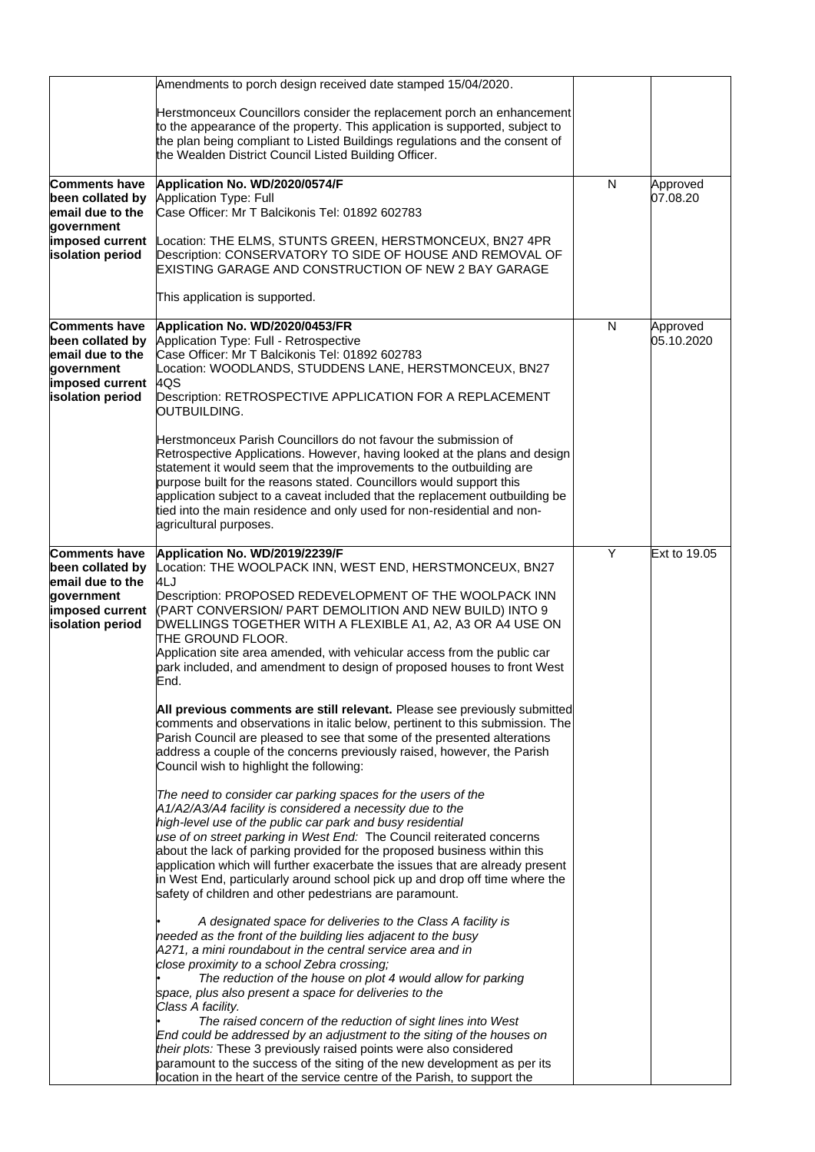|                                                                       | Amendments to porch design received date stamped 15/04/2020.                                                                                                                                                                                                                                                                                                 |   |              |
|-----------------------------------------------------------------------|--------------------------------------------------------------------------------------------------------------------------------------------------------------------------------------------------------------------------------------------------------------------------------------------------------------------------------------------------------------|---|--------------|
|                                                                       | Herstmonceux Councillors consider the replacement porch an enhancement<br>to the appearance of the property. This application is supported, subject to<br>the plan being compliant to Listed Buildings regulations and the consent of<br>the Wealden District Council Listed Building Officer.                                                               |   |              |
| <b>Comments have</b>                                                  | Application No. WD/2020/0574/F                                                                                                                                                                                                                                                                                                                               | N | Approved     |
| been collated by<br>email due to the                                  | Application Type: Full<br>Case Officer: Mr T Balcikonis Tel: 01892 602783                                                                                                                                                                                                                                                                                    |   | 07.08.20     |
| qovernment                                                            |                                                                                                                                                                                                                                                                                                                                                              |   |              |
| imposed current<br>isolation period                                   | Location: THE ELMS, STUNTS GREEN, HERSTMONCEUX, BN27 4PR<br>Description: CONSERVATORY TO SIDE OF HOUSE AND REMOVAL OF<br>EXISTING GARAGE AND CONSTRUCTION OF NEW 2 BAY GARAGE                                                                                                                                                                                |   |              |
|                                                                       | This application is supported.                                                                                                                                                                                                                                                                                                                               |   |              |
| <b>Comments have</b>                                                  | Application No. WD/2020/0453/FR                                                                                                                                                                                                                                                                                                                              | N | Approved     |
| been collated by<br>email due to the                                  | Application Type: Full - Retrospective<br>Case Officer: Mr T Balcikonis Tel: 01892 602783                                                                                                                                                                                                                                                                    |   | 05.10.2020   |
| government                                                            | Location: WOODLANDS, STUDDENS LANE, HERSTMONCEUX, BN27                                                                                                                                                                                                                                                                                                       |   |              |
| imposed current<br>isolation period                                   | 4QS                                                                                                                                                                                                                                                                                                                                                          |   |              |
|                                                                       | Description: RETROSPECTIVE APPLICATION FOR A REPLACEMENT<br>OUTBUILDING.                                                                                                                                                                                                                                                                                     |   |              |
|                                                                       | Herstmonceux Parish Councillors do not favour the submission of                                                                                                                                                                                                                                                                                              |   |              |
|                                                                       | Retrospective Applications. However, having looked at the plans and design                                                                                                                                                                                                                                                                                   |   |              |
|                                                                       | statement it would seem that the improvements to the outbuilding are                                                                                                                                                                                                                                                                                         |   |              |
|                                                                       | purpose built for the reasons stated. Councillors would support this<br>application subject to a caveat included that the replacement outbuilding be                                                                                                                                                                                                         |   |              |
|                                                                       | tied into the main residence and only used for non-residential and non-                                                                                                                                                                                                                                                                                      |   |              |
|                                                                       | agricultural purposes.                                                                                                                                                                                                                                                                                                                                       |   |              |
| <b>Comments have</b>                                                  | Application No. WD/2019/2239/F                                                                                                                                                                                                                                                                                                                               | Y | Ext to 19.05 |
| been collated by                                                      | Location: THE WOOLPACK INN, WEST END, HERSTMONCEUX, BN27                                                                                                                                                                                                                                                                                                     |   |              |
| email due to the<br>government<br>imposed current<br>isolation period | 4LJ<br>Description: PROPOSED REDEVELOPMENT OF THE WOOLPACK INN<br>(PART CONVERSION/ PART DEMOLITION AND NEW BUILD) INTO 9<br>DWELLINGS TOGETHER WITH A FLEXIBLE A1, A2, A3 OR A4 USE ON<br>THE GROUND FLOOR.                                                                                                                                                 |   |              |
|                                                                       | Application site area amended, with vehicular access from the public car<br>park included, and amendment to design of proposed houses to front West<br>End.                                                                                                                                                                                                  |   |              |
|                                                                       | All previous comments are still relevant. Please see previously submitted<br>comments and observations in italic below, pertinent to this submission. The<br>Parish Council are pleased to see that some of the presented alterations<br>address a couple of the concerns previously raised, however, the Parish<br>Council wish to highlight the following: |   |              |
|                                                                       | The need to consider car parking spaces for the users of the                                                                                                                                                                                                                                                                                                 |   |              |
|                                                                       | A1/A2/A3/A4 facility is considered a necessity due to the                                                                                                                                                                                                                                                                                                    |   |              |
|                                                                       | high-level use of the public car park and busy residential                                                                                                                                                                                                                                                                                                   |   |              |
|                                                                       | use of on street parking in West End: The Council reiterated concerns<br>about the lack of parking provided for the proposed business within this                                                                                                                                                                                                            |   |              |
|                                                                       | application which will further exacerbate the issues that are already present                                                                                                                                                                                                                                                                                |   |              |
|                                                                       | in West End, particularly around school pick up and drop off time where the<br>safety of children and other pedestrians are paramount.                                                                                                                                                                                                                       |   |              |
|                                                                       | A designated space for deliveries to the Class A facility is                                                                                                                                                                                                                                                                                                 |   |              |
|                                                                       | needed as the front of the building lies adjacent to the busy<br>A271, a mini roundabout in the central service area and in                                                                                                                                                                                                                                  |   |              |
|                                                                       | close proximity to a school Zebra crossing;                                                                                                                                                                                                                                                                                                                  |   |              |
|                                                                       | The reduction of the house on plot 4 would allow for parking                                                                                                                                                                                                                                                                                                 |   |              |
|                                                                       | space, plus also present a space for deliveries to the<br>Class A facility.                                                                                                                                                                                                                                                                                  |   |              |
|                                                                       | The raised concern of the reduction of sight lines into West                                                                                                                                                                                                                                                                                                 |   |              |
|                                                                       | End could be addressed by an adjustment to the siting of the houses on<br>their plots: These 3 previously raised points were also considered                                                                                                                                                                                                                 |   |              |
|                                                                       | paramount to the success of the siting of the new development as per its                                                                                                                                                                                                                                                                                     |   |              |
|                                                                       | location in the heart of the service centre of the Parish, to support the                                                                                                                                                                                                                                                                                    |   |              |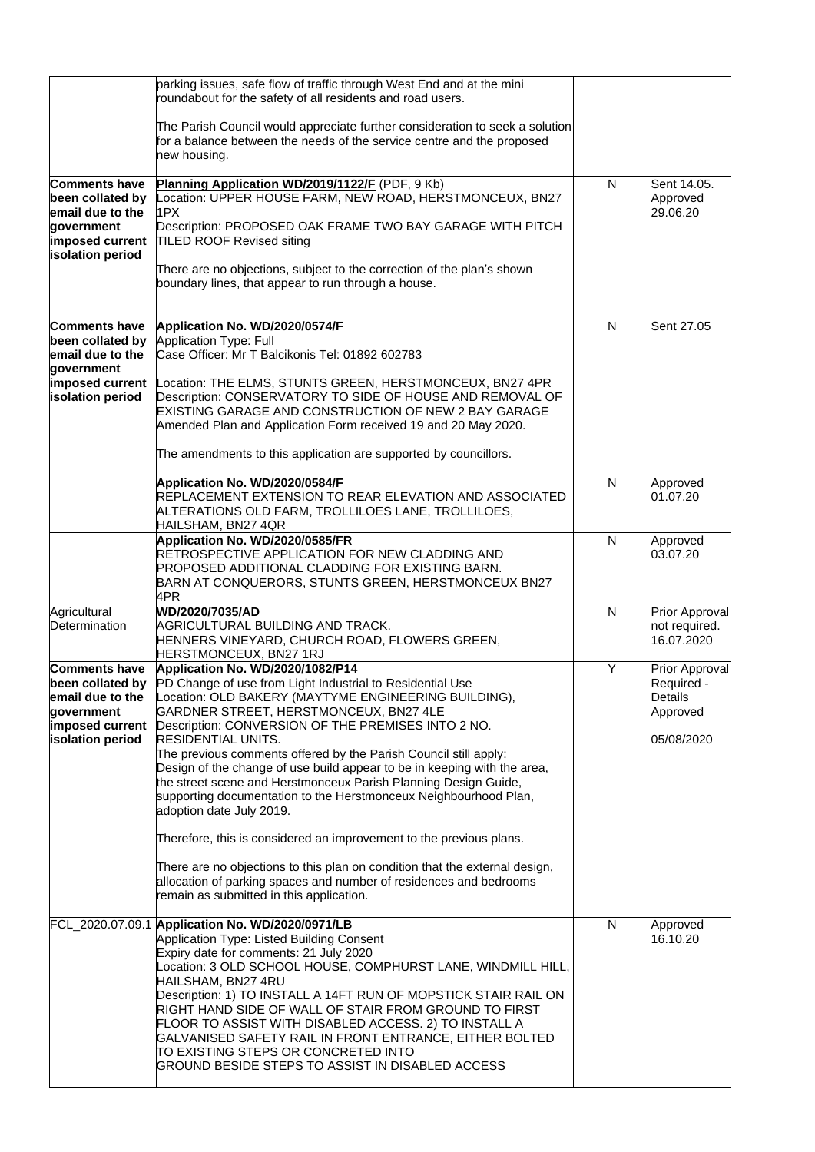|                                                                                                                   | parking issues, safe flow of traffic through West End and at the mini<br>roundabout for the safety of all residents and road users.<br>The Parish Council would appreciate further consideration to seek a solution<br>for a balance between the needs of the service centre and the proposed<br>new housing.                                                                                                                                                                                                                                                                                                                                                                                                                                                                                                                                                                                         |   |                                                                   |
|-------------------------------------------------------------------------------------------------------------------|-------------------------------------------------------------------------------------------------------------------------------------------------------------------------------------------------------------------------------------------------------------------------------------------------------------------------------------------------------------------------------------------------------------------------------------------------------------------------------------------------------------------------------------------------------------------------------------------------------------------------------------------------------------------------------------------------------------------------------------------------------------------------------------------------------------------------------------------------------------------------------------------------------|---|-------------------------------------------------------------------|
| <b>Comments have</b><br>been collated by<br>email due to the<br>government<br>imposed current<br>isolation period | Planning Application WD/2019/1122/F (PDF, 9 Kb)<br>ocation: UPPER HOUSE FARM, NEW ROAD, HERSTMONCEUX, BN27<br>1PX<br>Description: PROPOSED OAK FRAME TWO BAY GARAGE WITH PITCH<br><b>TILED ROOF Revised siting</b><br>There are no objections, subject to the correction of the plan's shown<br>boundary lines, that appear to run through a house.                                                                                                                                                                                                                                                                                                                                                                                                                                                                                                                                                   | N | Sent 14.05.<br>Approved<br>29.06.20                               |
| <b>Comments have</b><br>been collated by<br>email due to the<br>government<br>imposed current<br>isolation period | Application No. WD/2020/0574/F<br>Application Type: Full<br>Case Officer: Mr T Balcikonis Tel: 01892 602783<br>Location: THE ELMS, STUNTS GREEN, HERSTMONCEUX, BN27 4PR<br>Description: CONSERVATORY TO SIDE OF HOUSE AND REMOVAL OF<br>EXISTING GARAGE AND CONSTRUCTION OF NEW 2 BAY GARAGE<br>Amended Plan and Application Form received 19 and 20 May 2020.<br>The amendments to this application are supported by councillors.                                                                                                                                                                                                                                                                                                                                                                                                                                                                    | N | Sent 27.05                                                        |
|                                                                                                                   | Application No. WD/2020/0584/F<br>REPLACEMENT EXTENSION TO REAR ELEVATION AND ASSOCIATED<br>ALTERATIONS OLD FARM, TROLLILOES LANE, TROLLILOES,<br>HAILSHAM, BN27 4QR                                                                                                                                                                                                                                                                                                                                                                                                                                                                                                                                                                                                                                                                                                                                  | N | Approved<br>01.07.20                                              |
|                                                                                                                   | Application No. WD/2020/0585/FR<br>RETROSPECTIVE APPLICATION FOR NEW CLADDING AND<br>PROPOSED ADDITIONAL CLADDING FOR EXISTING BARN.<br>BARN AT CONQUERORS, STUNTS GREEN, HERSTMONCEUX BN27<br>4PR                                                                                                                                                                                                                                                                                                                                                                                                                                                                                                                                                                                                                                                                                                    | N | Approved<br>03.07.20                                              |
| Agricultural<br>Determination                                                                                     | WD/2020/7035/AD<br>AGRICULTURAL BUILDING AND TRACK.<br>HENNERS VINEYARD, CHURCH ROAD, FLOWERS GREEN,<br>HERSTMONCEUX, BN27 1RJ                                                                                                                                                                                                                                                                                                                                                                                                                                                                                                                                                                                                                                                                                                                                                                        | N | Prior Approval<br>not required.<br>16.07.2020                     |
| <b>Comments have</b><br>email due to the<br>government<br>imposed current<br>isolation period                     | Application No. WD/2020/1082/P14<br><b>been collated by</b> PD Change of use from Light Industrial to Residential Use<br>Location: OLD BAKERY (MAYTYME ENGINEERING BUILDING),<br>GARDNER STREET, HERSTMONCEUX, BN27 4LE<br>Description: CONVERSION OF THE PREMISES INTO 2 NO.<br><b>RESIDENTIAL UNITS.</b><br>The previous comments offered by the Parish Council still apply:<br>Design of the change of use build appear to be in keeping with the area,<br>the street scene and Herstmonceux Parish Planning Design Guide,<br>supporting documentation to the Herstmonceux Neighbourhood Plan,<br>adoption date July 2019.<br>Therefore, this is considered an improvement to the previous plans.<br>There are no objections to this plan on condition that the external design,<br>allocation of parking spaces and number of residences and bedrooms<br>remain as submitted in this application. | Y | Prior Approval<br>Required -<br>Details<br>Approved<br>05/08/2020 |
|                                                                                                                   | FCL_2020.07.09.1 Application No. WD/2020/0971/LB<br>Application Type: Listed Building Consent<br>Expiry date for comments: 21 July 2020<br>Location: 3 OLD SCHOOL HOUSE, COMPHURST LANE, WINDMILL HILL,<br>HAILSHAM, BN27 4RU<br>Description: 1) TO INSTALL A 14FT RUN OF MOPSTICK STAIR RAIL ON<br>RIGHT HAND SIDE OF WALL OF STAIR FROM GROUND TO FIRST<br>FLOOR TO ASSIST WITH DISABLED ACCESS. 2) TO INSTALL A<br>GALVANISED SAFETY RAIL IN FRONT ENTRANCE, EITHER BOLTED<br>TO EXISTING STEPS OR CONCRETED INTO<br>GROUND BESIDE STEPS TO ASSIST IN DISABLED ACCESS                                                                                                                                                                                                                                                                                                                              | N | Approved<br>16.10.20                                              |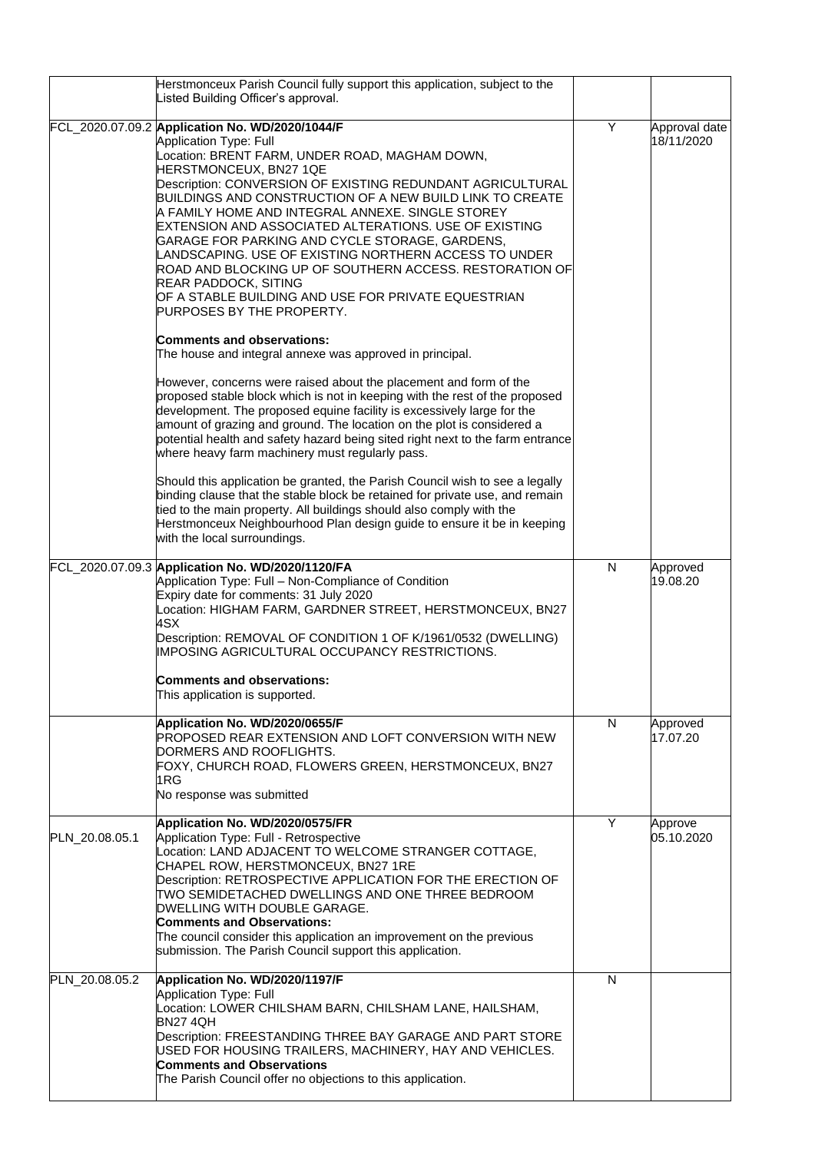|                | Herstmonceux Parish Council fully support this application, subject to the<br>Listed Building Officer's approval.                                                                                                                                                                                                                                                                                                                                                                                                                                                                                                                                                                                                                                                                                                                                        |   |                             |
|----------------|----------------------------------------------------------------------------------------------------------------------------------------------------------------------------------------------------------------------------------------------------------------------------------------------------------------------------------------------------------------------------------------------------------------------------------------------------------------------------------------------------------------------------------------------------------------------------------------------------------------------------------------------------------------------------------------------------------------------------------------------------------------------------------------------------------------------------------------------------------|---|-----------------------------|
|                | FCL_2020.07.09.2 Application No. WD/2020/1044/F<br>Application Type: Full<br>Location: BRENT FARM, UNDER ROAD, MAGHAM DOWN,<br>HERSTMONCEUX, BN27 1QE<br>Description: CONVERSION OF EXISTING REDUNDANT AGRICULTURAL<br>BUILDINGS AND CONSTRUCTION OF A NEW BUILD LINK TO CREATE<br>A FAMILY HOME AND INTEGRAL ANNEXE. SINGLE STOREY<br>EXTENSION AND ASSOCIATED ALTERATIONS. USE OF EXISTING<br>GARAGE FOR PARKING AND CYCLE STORAGE, GARDENS,<br>LANDSCAPING. USE OF EXISTING NORTHERN ACCESS TO UNDER<br>ROAD AND BLOCKING UP OF SOUTHERN ACCESS. RESTORATION OF<br><b>REAR PADDOCK, SITING</b><br>OF A STABLE BUILDING AND USE FOR PRIVATE EQUESTRIAN<br>PURPOSES BY THE PROPERTY.<br><b>Comments and observations:</b>                                                                                                                               | Y | Approval date<br>18/11/2020 |
|                | The house and integral annexe was approved in principal.<br>However, concerns were raised about the placement and form of the<br>proposed stable block which is not in keeping with the rest of the proposed<br>development. The proposed equine facility is excessively large for the<br>amount of grazing and ground. The location on the plot is considered a<br>potential health and safety hazard being sited right next to the farm entrance<br>where heavy farm machinery must regularly pass.<br>Should this application be granted, the Parish Council wish to see a legally<br>binding clause that the stable block be retained for private use, and remain<br>tied to the main property. All buildings should also comply with the<br>Herstmonceux Neighbourhood Plan design guide to ensure it be in keeping<br>with the local surroundings. |   |                             |
|                | FCL_2020.07.09.3 Application No. WD/2020/1120/FA<br>Application Type: Full - Non-Compliance of Condition<br>Expiry date for comments: 31 July 2020<br>Location: HIGHAM FARM, GARDNER STREET, HERSTMONCEUX, BN27<br>4SX<br>Description: REMOVAL OF CONDITION 1 OF K/1961/0532 (DWELLING)<br>IMPOSING AGRICULTURAL OCCUPANCY RESTRICTIONS.<br><b>Comments and observations:</b><br>This application is supported.                                                                                                                                                                                                                                                                                                                                                                                                                                          | N | Approved<br>19.08.20        |
|                | Application No. WD/2020/0655/F<br><b>PROPOSED REAR EXTENSION AND LOFT CONVERSION WITH NEW</b><br>DORMERS AND ROOFLIGHTS.<br>FOXY, CHURCH ROAD, FLOWERS GREEN, HERSTMONCEUX, BN27<br>1 <sub>RG</sub><br>No response was submitted                                                                                                                                                                                                                                                                                                                                                                                                                                                                                                                                                                                                                         | N | Approved<br>17.07.20        |
| PLN_20.08.05.1 | Application No. WD/2020/0575/FR<br>Application Type: Full - Retrospective<br>Location: LAND ADJACENT TO WELCOME STRANGER COTTAGE,<br>CHAPEL ROW, HERSTMONCEUX, BN27 1RE<br>Description: RETROSPECTIVE APPLICATION FOR THE ERECTION OF<br>TWO SEMIDETACHED DWELLINGS AND ONE THREE BEDROOM<br>DWELLING WITH DOUBLE GARAGE.<br><b>Comments and Observations:</b><br>The council consider this application an improvement on the previous<br>submission. The Parish Council support this application.                                                                                                                                                                                                                                                                                                                                                       | Y | Approve<br>05.10.2020       |
| PLN_20.08.05.2 | Application No. WD/2020/1197/F<br><b>Application Type: Full</b><br>Location: LOWER CHILSHAM BARN, CHILSHAM LANE, HAILSHAM,<br><b>BN27 4QH</b><br>Description: FREESTANDING THREE BAY GARAGE AND PART STORE<br>USED FOR HOUSING TRAILERS, MACHINERY, HAY AND VEHICLES.<br><b>Comments and Observations</b><br>The Parish Council offer no objections to this application.                                                                                                                                                                                                                                                                                                                                                                                                                                                                                 | N |                             |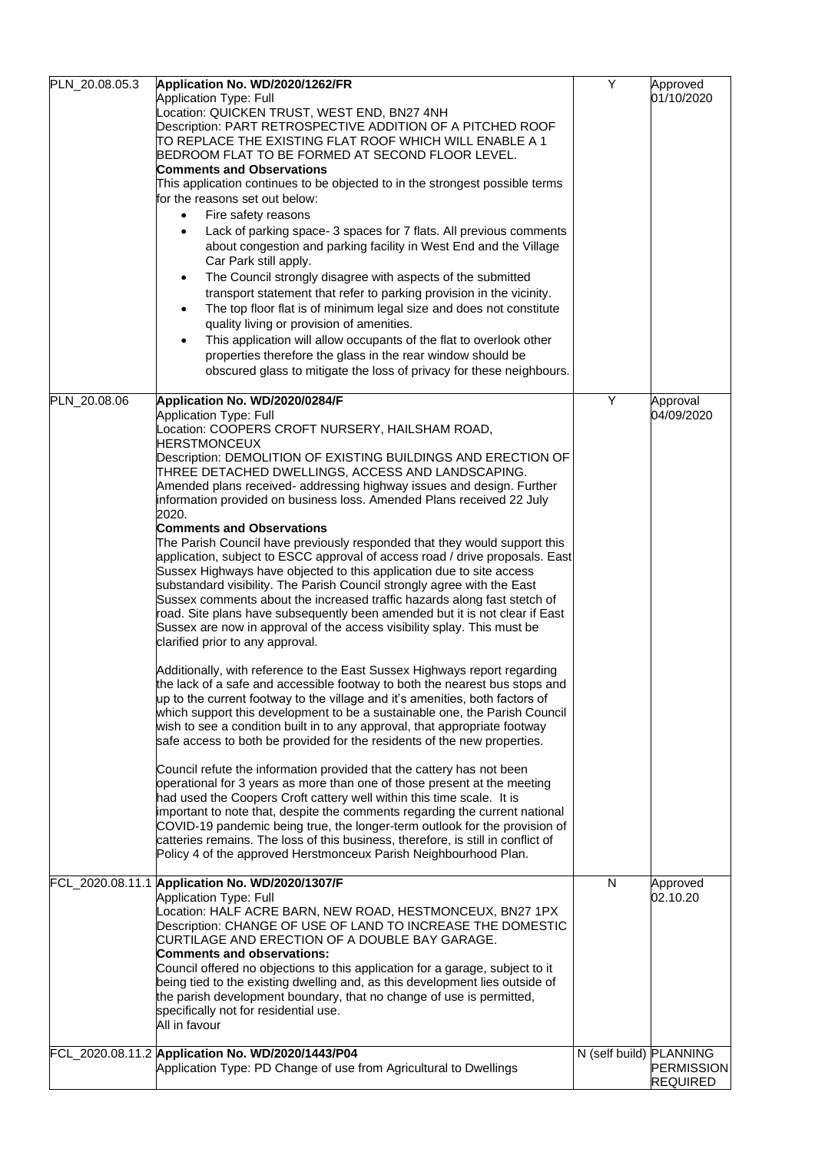| PLN_20.08.05.3 | Application No. WD/2020/1262/FR<br>Application Type: Full<br>Location: QUICKEN TRUST, WEST END, BN27 4NH<br>Description: PART RETROSPECTIVE ADDITION OF A PITCHED ROOF<br>TO REPLACE THE EXISTING FLAT ROOF WHICH WILL ENABLE A 1<br>BEDROOM FLAT TO BE FORMED AT SECOND FLOOR LEVEL.<br><b>Comments and Observations</b><br>This application continues to be objected to in the strongest possible terms<br>for the reasons set out below:<br>Fire safety reasons<br>$\bullet$<br>Lack of parking space- 3 spaces for 7 flats. All previous comments<br>about congestion and parking facility in West End and the Village<br>Car Park still apply.<br>The Council strongly disagree with aspects of the submitted<br>transport statement that refer to parking provision in the vicinity.<br>The top floor flat is of minimum legal size and does not constitute<br>quality living or provision of amenities.<br>This application will allow occupants of the flat to overlook other<br>$\bullet$<br>properties therefore the glass in the rear window should be<br>obscured glass to mitigate the loss of privacy for these neighbours.                                                                                                                                                                                                                                                                                                                                                                                                                                                                                                                                                                                                                                                                                                                                                                                                                                                                                                                                         | Y                       | Approved<br>01/10/2020               |
|----------------|-----------------------------------------------------------------------------------------------------------------------------------------------------------------------------------------------------------------------------------------------------------------------------------------------------------------------------------------------------------------------------------------------------------------------------------------------------------------------------------------------------------------------------------------------------------------------------------------------------------------------------------------------------------------------------------------------------------------------------------------------------------------------------------------------------------------------------------------------------------------------------------------------------------------------------------------------------------------------------------------------------------------------------------------------------------------------------------------------------------------------------------------------------------------------------------------------------------------------------------------------------------------------------------------------------------------------------------------------------------------------------------------------------------------------------------------------------------------------------------------------------------------------------------------------------------------------------------------------------------------------------------------------------------------------------------------------------------------------------------------------------------------------------------------------------------------------------------------------------------------------------------------------------------------------------------------------------------------------------------------------------------------------------------------------------------------------------------|-------------------------|--------------------------------------|
| PLN 20.08.06   | Application No. WD/2020/0284/F<br>Application Type: Full<br>Location: COOPERS CROFT NURSERY, HAILSHAM ROAD,<br>HERSTMONCEUX<br>Description: DEMOLITION OF EXISTING BUILDINGS AND ERECTION OF<br>THREE DETACHED DWELLINGS, ACCESS AND LANDSCAPING.<br>Amended plans received- addressing highway issues and design. Further<br>information provided on business loss. Amended Plans received 22 July<br>2020.<br><b>Comments and Observations</b><br>The Parish Council have previously responded that they would support this<br>application, subject to ESCC approval of access road / drive proposals. East<br>Sussex Highways have objected to this application due to site access<br>substandard visibility. The Parish Council strongly agree with the East<br>Sussex comments about the increased traffic hazards along fast stetch of<br>road. Site plans have subsequently been amended but it is not clear if East<br>Sussex are now in approval of the access visibility splay. This must be<br>clarified prior to any approval.<br>Additionally, with reference to the East Sussex Highways report regarding<br>the lack of a safe and accessible footway to both the nearest bus stops and<br>up to the current footway to the village and it's amenities, both factors of<br>which support this development to be a sustainable one, the Parish Council<br>wish to see a condition built in to any approval, that appropriate footway<br>safe access to both be provided for the residents of the new properties.<br>Council refute the information provided that the cattery has not been<br>operational for 3 years as more than one of those present at the meeting<br>had used the Coopers Croft cattery well within this time scale. It is<br>important to note that, despite the comments regarding the current national<br>COVID-19 pandemic being true, the longer-term outlook for the provision of<br>catteries remains. The loss of this business, therefore, is still in conflict of<br>Policy 4 of the approved Herstmonceux Parish Neighbourhood Plan. | Y                       | Approval<br>04/09/2020               |
|                | FCL_2020.08.11.1 Application No. WD/2020/1307/F<br>Application Type: Full<br>Location: HALF ACRE BARN, NEW ROAD, HESTMONCEUX, BN27 1PX<br>Description: CHANGE OF USE OF LAND TO INCREASE THE DOMESTIC<br>CURTILAGE AND ERECTION OF A DOUBLE BAY GARAGE.<br>Comments and observations:<br>Council offered no objections to this application for a garage, subject to it<br>being tied to the existing dwelling and, as this development lies outside of<br>the parish development boundary, that no change of use is permitted,<br>specifically not for residential use.<br>All in favour                                                                                                                                                                                                                                                                                                                                                                                                                                                                                                                                                                                                                                                                                                                                                                                                                                                                                                                                                                                                                                                                                                                                                                                                                                                                                                                                                                                                                                                                                          | N                       | Approved<br>02.10.20                 |
|                | FCL_2020.08.11.2 Application No. WD/2020/1443/P04<br>Application Type: PD Change of use from Agricultural to Dwellings                                                                                                                                                                                                                                                                                                                                                                                                                                                                                                                                                                                                                                                                                                                                                                                                                                                                                                                                                                                                                                                                                                                                                                                                                                                                                                                                                                                                                                                                                                                                                                                                                                                                                                                                                                                                                                                                                                                                                            | N (self build) PLANNING | <b>PERMISSION</b><br><b>REQUIRED</b> |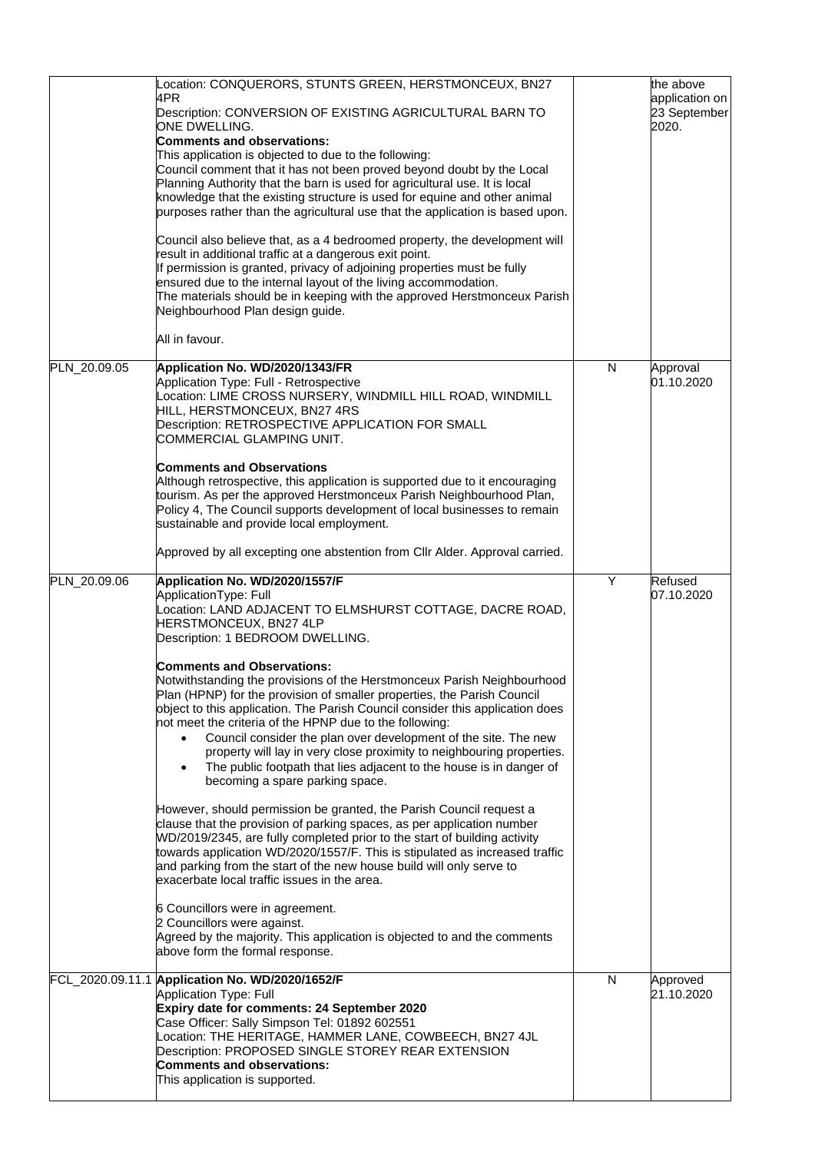|              | Location: CONQUERORS, STUNTS GREEN, HERSTMONCEUX, BN27<br>4PR<br>Description: CONVERSION OF EXISTING AGRICULTURAL BARN TO<br>ONE DWELLING.<br><b>Comments and observations:</b><br>This application is objected to due to the following:<br>Council comment that it has not been proved beyond doubt by the Local<br>Planning Authority that the barn is used for agricultural use. It is local<br>knowledge that the existing structure is used for equine and other animal<br>purposes rather than the agricultural use that the application is based upon.<br>Council also believe that, as a 4 bedroomed property, the development will<br>result in additional traffic at a dangerous exit point.<br>If permission is granted, privacy of adjoining properties must be fully<br>ensured due to the internal layout of the living accommodation.<br>The materials should be in keeping with the approved Herstmonceux Parish<br>Neighbourhood Plan design guide.<br>All in favour.                                                                                                                                                                               |   | the above<br>application on<br>23 September<br>2020. |
|--------------|----------------------------------------------------------------------------------------------------------------------------------------------------------------------------------------------------------------------------------------------------------------------------------------------------------------------------------------------------------------------------------------------------------------------------------------------------------------------------------------------------------------------------------------------------------------------------------------------------------------------------------------------------------------------------------------------------------------------------------------------------------------------------------------------------------------------------------------------------------------------------------------------------------------------------------------------------------------------------------------------------------------------------------------------------------------------------------------------------------------------------------------------------------------------|---|------------------------------------------------------|
| PLN_20.09.05 | Application No. WD/2020/1343/FR<br>Application Type: Full - Retrospective<br>Location: LIME CROSS NURSERY, WINDMILL HILL ROAD, WINDMILL<br>HILL, HERSTMONCEUX, BN27 4RS<br>Description: RETROSPECTIVE APPLICATION FOR SMALL<br>COMMERCIAL GLAMPING UNIT.<br><b>Comments and Observations</b><br>Although retrospective, this application is supported due to it encouraging<br>tourism. As per the approved Herstmonceux Parish Neighbourhood Plan,                                                                                                                                                                                                                                                                                                                                                                                                                                                                                                                                                                                                                                                                                                                  | N | Approval<br>01.10.2020                               |
|              | Policy 4, The Council supports development of local businesses to remain<br>sustainable and provide local employment.<br>Approved by all excepting one abstention from CIIr Alder. Approval carried.                                                                                                                                                                                                                                                                                                                                                                                                                                                                                                                                                                                                                                                                                                                                                                                                                                                                                                                                                                 |   |                                                      |
| PLN_20.09.06 | Application No. WD/2020/1557/F<br>ApplicationType: Full<br>Location: LAND ADJACENT TO ELMSHURST COTTAGE, DACRE ROAD,<br>HERSTMONCEUX, BN27 4LP<br>Description: 1 BEDROOM DWELLING.<br><b>Comments and Observations:</b><br>Notwithstanding the provisions of the Herstmonceux Parish Neighbourhood<br>Plan (HPNP) for the provision of smaller properties, the Parish Council<br>object to this application. The Parish Council consider this application does<br>not meet the criteria of the HPNP due to the following:<br>Council consider the plan over development of the site. The new<br>property will lay in very close proximity to neighbouring properties.<br>The public footpath that lies adjacent to the house is in danger of<br>becoming a spare parking space.<br>However, should permission be granted, the Parish Council request a<br>clause that the provision of parking spaces, as per application number<br>WD/2019/2345, are fully completed prior to the start of building activity<br>towards application WD/2020/1557/F. This is stipulated as increased traffic<br>and parking from the start of the new house build will only serve to | Y | Refused<br>07.10.2020                                |
|              | exacerbate local traffic issues in the area.<br>6 Councillors were in agreement.<br>2 Councillors were against.<br>Agreed by the majority. This application is objected to and the comments<br>above form the formal response.                                                                                                                                                                                                                                                                                                                                                                                                                                                                                                                                                                                                                                                                                                                                                                                                                                                                                                                                       |   |                                                      |
|              | FCL_2020.09.11.1 Application No. WD/2020/1652/F<br><b>Application Type: Full</b><br>Expiry date for comments: 24 September 2020<br>Case Officer: Sally Simpson Tel: 01892 602551<br>Location: THE HERITAGE, HAMMER LANE, COWBEECH, BN27 4JL<br>Description: PROPOSED SINGLE STOREY REAR EXTENSION<br><b>Comments and observations:</b><br>This application is supported.                                                                                                                                                                                                                                                                                                                                                                                                                                                                                                                                                                                                                                                                                                                                                                                             | N | Approved<br>21.10.2020                               |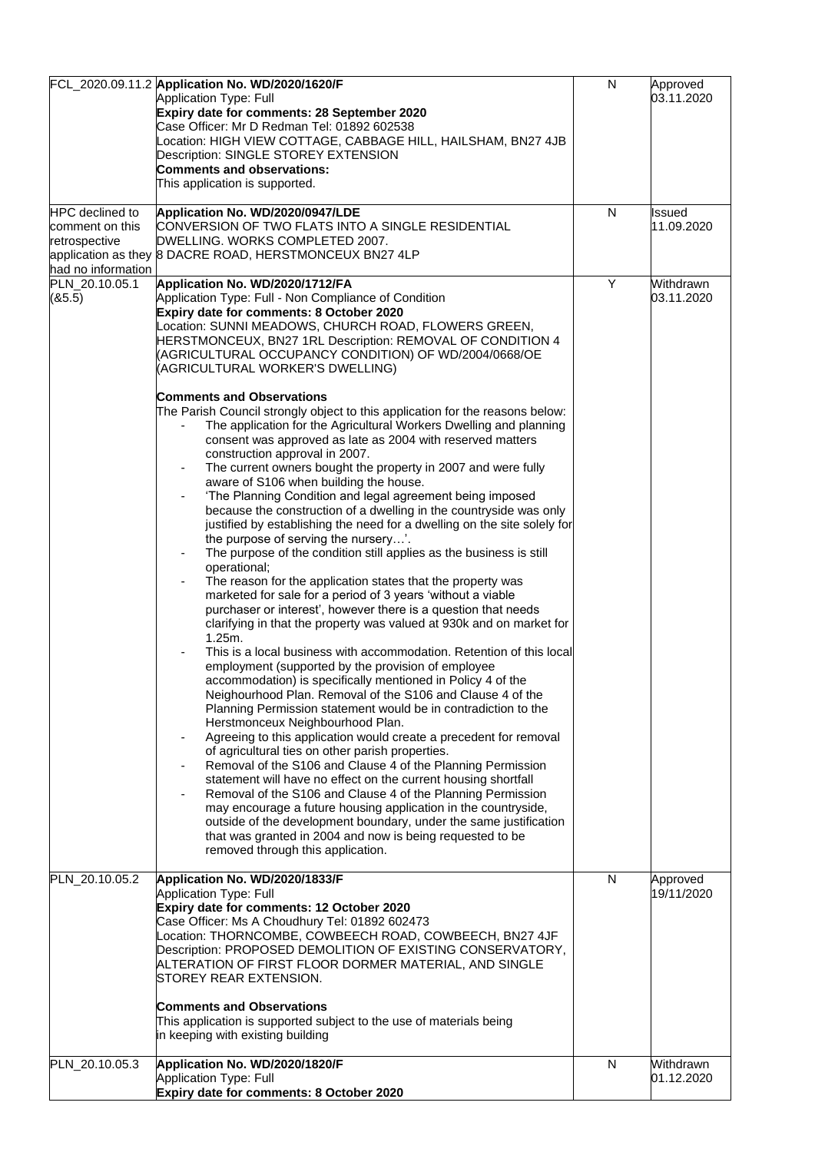|                                                                                  | FCL_2020.09.11.2 Application No. WD/2020/1620/F<br>Application Type: Full<br>Expiry date for comments: 28 September 2020<br>Case Officer: Mr D Redman Tel: 01892 602538<br>Location: HIGH VIEW COTTAGE, CABBAGE HILL, HAILSHAM, BN27 4JB<br>Description: SINGLE STOREY EXTENSION<br><b>Comments and observations:</b>                                                                                                                                                                                                                                                                                                                                                                                                                                                                                                                                                                                                                                                                                                                                                                                                                                                                                                                                                                                                                                                                                                                                                                                                                                                                                                                                                                                                                                                                                                                                                                                                                                                                                                                                                                                                                                                                                                                                                                                                           | N | Approved<br>03.11.2020  |
|----------------------------------------------------------------------------------|---------------------------------------------------------------------------------------------------------------------------------------------------------------------------------------------------------------------------------------------------------------------------------------------------------------------------------------------------------------------------------------------------------------------------------------------------------------------------------------------------------------------------------------------------------------------------------------------------------------------------------------------------------------------------------------------------------------------------------------------------------------------------------------------------------------------------------------------------------------------------------------------------------------------------------------------------------------------------------------------------------------------------------------------------------------------------------------------------------------------------------------------------------------------------------------------------------------------------------------------------------------------------------------------------------------------------------------------------------------------------------------------------------------------------------------------------------------------------------------------------------------------------------------------------------------------------------------------------------------------------------------------------------------------------------------------------------------------------------------------------------------------------------------------------------------------------------------------------------------------------------------------------------------------------------------------------------------------------------------------------------------------------------------------------------------------------------------------------------------------------------------------------------------------------------------------------------------------------------------------------------------------------------------------------------------------------------|---|-------------------------|
|                                                                                  | This application is supported.                                                                                                                                                                                                                                                                                                                                                                                                                                                                                                                                                                                                                                                                                                                                                                                                                                                                                                                                                                                                                                                                                                                                                                                                                                                                                                                                                                                                                                                                                                                                                                                                                                                                                                                                                                                                                                                                                                                                                                                                                                                                                                                                                                                                                                                                                                  |   |                         |
| <b>HPC</b> declined to<br>comment on this<br>retrospective<br>had no information | Application No. WD/2020/0947/LDE<br>CONVERSION OF TWO FLATS INTO A SINGLE RESIDENTIAL<br>DWELLING. WORKS COMPLETED 2007.<br>application as they 8 DACRE ROAD, HERSTMONCEUX BN27 4LP                                                                                                                                                                                                                                                                                                                                                                                                                                                                                                                                                                                                                                                                                                                                                                                                                                                                                                                                                                                                                                                                                                                                                                                                                                                                                                                                                                                                                                                                                                                                                                                                                                                                                                                                                                                                                                                                                                                                                                                                                                                                                                                                             | N | Issued<br>11.09.2020    |
| PLN_20.10.05.1<br>(85.5)                                                         | Application No. WD/2020/1712/FA<br>Application Type: Full - Non Compliance of Condition<br>Expiry date for comments: 8 October 2020<br>Location: SUNNI MEADOWS, CHURCH ROAD, FLOWERS GREEN,<br>HERSTMONCEUX, BN27 1RL Description: REMOVAL OF CONDITION 4<br>(AGRICULTURAL OCCUPANCY CONDITION) OF WD/2004/0668/OE<br>(AGRICULTURAL WORKER'S DWELLING)<br><b>Comments and Observations</b><br>The Parish Council strongly object to this application for the reasons below:<br>The application for the Agricultural Workers Dwelling and planning<br>consent was approved as late as 2004 with reserved matters<br>construction approval in 2007.<br>The current owners bought the property in 2007 and were fully<br>aware of S106 when building the house.<br>'The Planning Condition and legal agreement being imposed<br>because the construction of a dwelling in the countryside was only<br>justified by establishing the need for a dwelling on the site solely for<br>the purpose of serving the nursery'.<br>The purpose of the condition still applies as the business is still<br>operational;<br>The reason for the application states that the property was<br>marketed for sale for a period of 3 years 'without a viable<br>purchaser or interest', however there is a question that needs<br>clarifying in that the property was valued at 930k and on market for<br>1.25m.<br>This is a local business with accommodation. Retention of this local<br>employment (supported by the provision of employee<br>accommodation) is specifically mentioned in Policy 4 of the<br>Neighourhood Plan. Removal of the S106 and Clause 4 of the<br>Planning Permission statement would be in contradiction to the<br>Herstmonceux Neighbourhood Plan.<br>Agreeing to this application would create a precedent for removal<br>of agricultural ties on other parish properties.<br>Removal of the S106 and Clause 4 of the Planning Permission<br>statement will have no effect on the current housing shortfall<br>Removal of the S106 and Clause 4 of the Planning Permission<br>may encourage a future housing application in the countryside,<br>outside of the development boundary, under the same justification<br>that was granted in 2004 and now is being requested to be<br>removed through this application. | Y | Withdrawn<br>03.11.2020 |
| PLN_20.10.05.2                                                                   | Application No. WD/2020/1833/F<br>Application Type: Full<br>Expiry date for comments: 12 October 2020<br>Case Officer: Ms A Choudhury Tel: 01892 602473<br>Location: THORNCOMBE, COWBEECH ROAD, COWBEECH, BN27 4JF<br>Description: PROPOSED DEMOLITION OF EXISTING CONSERVATORY,<br>ALTERATION OF FIRST FLOOR DORMER MATERIAL, AND SINGLE<br>STOREY REAR EXTENSION.<br><b>Comments and Observations</b>                                                                                                                                                                                                                                                                                                                                                                                                                                                                                                                                                                                                                                                                                                                                                                                                                                                                                                                                                                                                                                                                                                                                                                                                                                                                                                                                                                                                                                                                                                                                                                                                                                                                                                                                                                                                                                                                                                                         | N | Approved<br>19/11/2020  |
|                                                                                  | This application is supported subject to the use of materials being<br>in keeping with existing building                                                                                                                                                                                                                                                                                                                                                                                                                                                                                                                                                                                                                                                                                                                                                                                                                                                                                                                                                                                                                                                                                                                                                                                                                                                                                                                                                                                                                                                                                                                                                                                                                                                                                                                                                                                                                                                                                                                                                                                                                                                                                                                                                                                                                        |   |                         |
| PLN_20.10.05.3                                                                   | Application No. WD/2020/1820/F<br>Application Type: Full<br>Expiry date for comments: 8 October 2020                                                                                                                                                                                                                                                                                                                                                                                                                                                                                                                                                                                                                                                                                                                                                                                                                                                                                                                                                                                                                                                                                                                                                                                                                                                                                                                                                                                                                                                                                                                                                                                                                                                                                                                                                                                                                                                                                                                                                                                                                                                                                                                                                                                                                            | N | Withdrawn<br>01.12.2020 |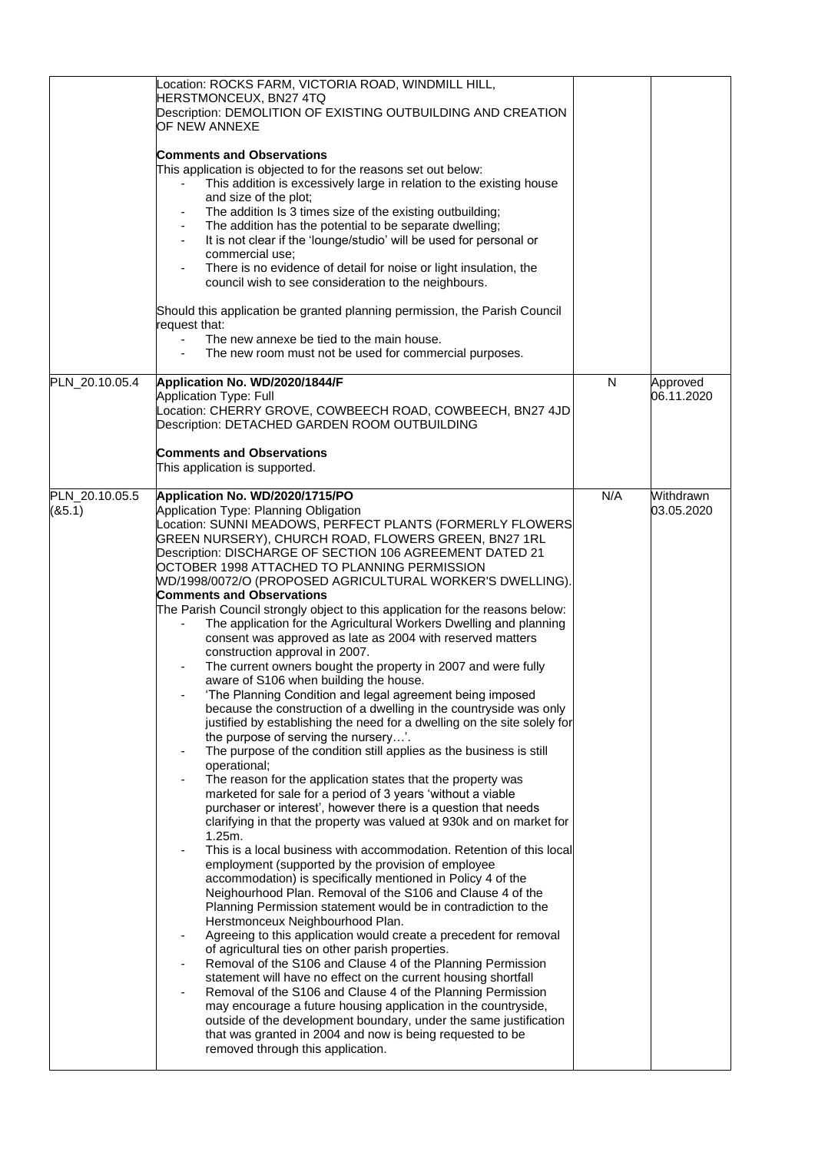|                          | Location: ROCKS FARM, VICTORIA ROAD, WINDMILL HILL,<br>HERSTMONCEUX, BN27 4TQ<br>Description: DEMOLITION OF EXISTING OUTBUILDING AND CREATION<br>OF NEW ANNEXE<br><b>Comments and Observations</b><br>This application is objected to for the reasons set out below:<br>This addition is excessively large in relation to the existing house<br>and size of the plot;<br>The addition Is 3 times size of the existing outbuilding;<br>The addition has the potential to be separate dwelling;<br>It is not clear if the 'lounge/studio' will be used for personal or<br>commercial use;<br>There is no evidence of detail for noise or light insulation, the<br>council wish to see consideration to the neighbours.<br>Should this application be granted planning permission, the Parish Council<br>request that:<br>The new annexe be tied to the main house.<br>The new room must not be used for commercial purposes.                                                                                                                                                                                                                                                                                                                                                                                                                                                                                                                                                                                                                                                                                                                                                                                                                                                                                                                                                                                                                                                                                                                                                                                                                                                                                                                                                                                                                      |     |                         |
|--------------------------|-------------------------------------------------------------------------------------------------------------------------------------------------------------------------------------------------------------------------------------------------------------------------------------------------------------------------------------------------------------------------------------------------------------------------------------------------------------------------------------------------------------------------------------------------------------------------------------------------------------------------------------------------------------------------------------------------------------------------------------------------------------------------------------------------------------------------------------------------------------------------------------------------------------------------------------------------------------------------------------------------------------------------------------------------------------------------------------------------------------------------------------------------------------------------------------------------------------------------------------------------------------------------------------------------------------------------------------------------------------------------------------------------------------------------------------------------------------------------------------------------------------------------------------------------------------------------------------------------------------------------------------------------------------------------------------------------------------------------------------------------------------------------------------------------------------------------------------------------------------------------------------------------------------------------------------------------------------------------------------------------------------------------------------------------------------------------------------------------------------------------------------------------------------------------------------------------------------------------------------------------------------------------------------------------------------------------------------------------|-----|-------------------------|
| PLN_20.10.05.4           | Application No. WD/2020/1844/F<br><b>Application Type: Full</b><br>Location: CHERRY GROVE, COWBEECH ROAD, COWBEECH, BN27 4JD<br>Description: DETACHED GARDEN ROOM OUTBUILDING<br><b>Comments and Observations</b><br>This application is supported.                                                                                                                                                                                                                                                                                                                                                                                                                                                                                                                                                                                                                                                                                                                                                                                                                                                                                                                                                                                                                                                                                                                                                                                                                                                                                                                                                                                                                                                                                                                                                                                                                                                                                                                                                                                                                                                                                                                                                                                                                                                                                             | N   | Approved<br>06.11.2020  |
| PLN_20.10.05.5<br>(85.1) | Application No. WD/2020/1715/PO<br>Application Type: Planning Obligation<br>Location: SUNNI MEADOWS, PERFECT PLANTS (FORMERLY FLOWERS<br>GREEN NURSERY), CHURCH ROAD, FLOWERS GREEN, BN27 1RL<br>Description: DISCHARGE OF SECTION 106 AGREEMENT DATED 21<br>OCTOBER 1998 ATTACHED TO PLANNING PERMISSION<br>WD/1998/0072/O (PROPOSED AGRICULTURAL WORKER'S DWELLING).<br><b>Comments and Observations</b><br>The Parish Council strongly object to this application for the reasons below:<br>The application for the Agricultural Workers Dwelling and planning<br>consent was approved as late as 2004 with reserved matters<br>construction approval in 2007.<br>The current owners bought the property in 2007 and were fully<br>aware of S106 when building the house.<br>'The Planning Condition and legal agreement being imposed<br>because the construction of a dwelling in the countryside was only<br>justified by establishing the need for a dwelling on the site solely for<br>the purpose of serving the nursery'.<br>The purpose of the condition still applies as the business is still<br>operational;<br>The reason for the application states that the property was<br>marketed for sale for a period of 3 years 'without a viable<br>purchaser or interest', however there is a question that needs<br>clarifying in that the property was valued at 930k and on market for<br>1.25m.<br>This is a local business with accommodation. Retention of this local<br>employment (supported by the provision of employee<br>accommodation) is specifically mentioned in Policy 4 of the<br>Neighourhood Plan. Removal of the S106 and Clause 4 of the<br>Planning Permission statement would be in contradiction to the<br>Herstmonceux Neighbourhood Plan.<br>Agreeing to this application would create a precedent for removal<br>of agricultural ties on other parish properties.<br>Removal of the S106 and Clause 4 of the Planning Permission<br>statement will have no effect on the current housing shortfall<br>Removal of the S106 and Clause 4 of the Planning Permission<br>may encourage a future housing application in the countryside,<br>outside of the development boundary, under the same justification<br>that was granted in 2004 and now is being requested to be<br>removed through this application. | N/A | Withdrawn<br>03.05.2020 |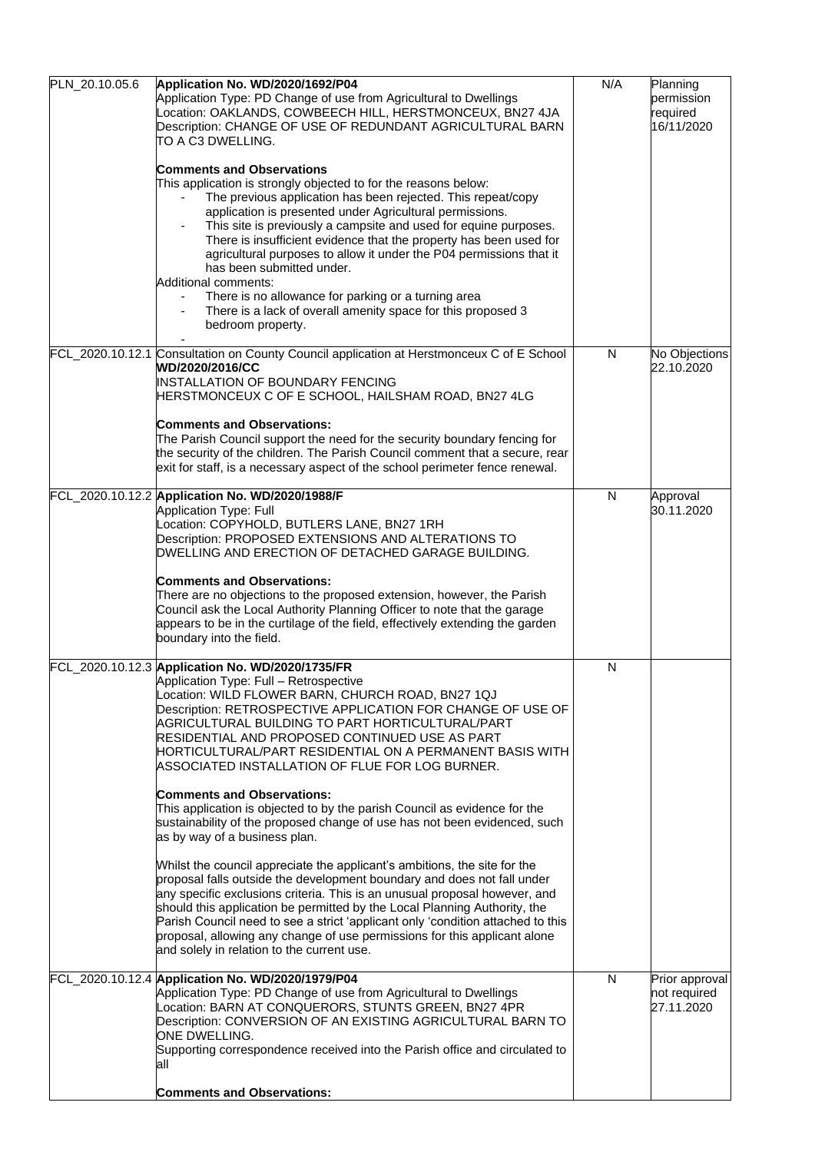| PLN_20.10.05.6 | Application No. WD/2020/1692/P04<br>Application Type: PD Change of use from Agricultural to Dwellings<br>Location: OAKLANDS, COWBEECH HILL, HERSTMONCEUX, BN27 4JA<br>Description: CHANGE OF USE OF REDUNDANT AGRICULTURAL BARN<br>TO A C3 DWELLING.<br><b>Comments and Observations</b><br>This application is strongly objected to for the reasons below:<br>The previous application has been rejected. This repeat/copy<br>application is presented under Agricultural permissions.<br>This site is previously a campsite and used for equine purposes.<br>There is insufficient evidence that the property has been used for<br>agricultural purposes to allow it under the P04 permissions that it<br>has been submitted under.<br>Additional comments:<br>There is no allowance for parking or a turning area<br>There is a lack of overall amenity space for this proposed 3<br>bedroom property.                                                                                                                                                                                                                                                                                            | N/A | Planning<br>permission<br>required<br>16/11/2020 |
|----------------|------------------------------------------------------------------------------------------------------------------------------------------------------------------------------------------------------------------------------------------------------------------------------------------------------------------------------------------------------------------------------------------------------------------------------------------------------------------------------------------------------------------------------------------------------------------------------------------------------------------------------------------------------------------------------------------------------------------------------------------------------------------------------------------------------------------------------------------------------------------------------------------------------------------------------------------------------------------------------------------------------------------------------------------------------------------------------------------------------------------------------------------------------------------------------------------------------|-----|--------------------------------------------------|
|                | FCL_2020.10.12.1 Consultation on County Council application at Herstmonceux C of E School<br>WD/2020/2016/CC<br>INSTALLATION OF BOUNDARY FENCING<br>HERSTMONCEUX C OF E SCHOOL, HAILSHAM ROAD, BN27 4LG<br><b>Comments and Observations:</b><br>The Parish Council support the need for the security boundary fencing for<br>the security of the children. The Parish Council comment that a secure, rear<br>exit for staff, is a necessary aspect of the school perimeter fence renewal.                                                                                                                                                                                                                                                                                                                                                                                                                                                                                                                                                                                                                                                                                                            | N   | No Objections<br>22.10.2020                      |
|                | FCL_2020.10.12.2 Application No. WD/2020/1988/F<br>Application Type: Full<br>Location: COPYHOLD, BUTLERS LANE, BN27 1RH<br>Description: PROPOSED EXTENSIONS AND ALTERATIONS TO<br>DWELLING AND ERECTION OF DETACHED GARAGE BUILDING.<br><b>Comments and Observations:</b><br>There are no objections to the proposed extension, however, the Parish<br>Council ask the Local Authority Planning Officer to note that the garage<br>appears to be in the curtilage of the field, effectively extending the garden<br>boundary into the field.                                                                                                                                                                                                                                                                                                                                                                                                                                                                                                                                                                                                                                                         | N   | Approval<br>30.11.2020                           |
|                | FCL_2020.10.12.3 Application No. WD/2020/1735/FR<br>Application Type: Full - Retrospective<br>Location: WILD FLOWER BARN, CHURCH ROAD, BN27 1QJ<br>Description: RETROSPECTIVE APPLICATION FOR CHANGE OF USE OF<br>AGRICULTURAL BUILDING TO PART HORTICULTURAL/PART<br>RESIDENTIAL AND PROPOSED CONTINUED USE AS PART<br>HORTICULTURAL/PART RESIDENTIAL ON A PERMANENT BASIS WITH<br>ASSOCIATED INSTALLATION OF FLUE FOR LOG BURNER.<br><b>Comments and Observations:</b><br>This application is objected to by the parish Council as evidence for the<br>sustainability of the proposed change of use has not been evidenced, such<br>as by way of a business plan.<br>Whilst the council appreciate the applicant's ambitions, the site for the<br>proposal falls outside the development boundary and does not fall under<br>any specific exclusions criteria. This is an unusual proposal however, and<br>should this application be permitted by the Local Planning Authority, the<br>Parish Council need to see a strict 'applicant only 'condition attached to this<br>proposal, allowing any change of use permissions for this applicant alone<br>and solely in relation to the current use. | N   |                                                  |
|                | FCL_2020.10.12.4 Application No. WD/2020/1979/P04<br>Application Type: PD Change of use from Agricultural to Dwellings<br>Location: BARN AT CONQUERORS, STUNTS GREEN, BN27 4PR<br>Description: CONVERSION OF AN EXISTING AGRICULTURAL BARN TO<br>ONE DWELLING.<br>Supporting correspondence received into the Parish office and circulated to<br>all<br><b>Comments and Observations:</b>                                                                                                                                                                                                                                                                                                                                                                                                                                                                                                                                                                                                                                                                                                                                                                                                            | N   | Prior approval<br>not required<br>27.11.2020     |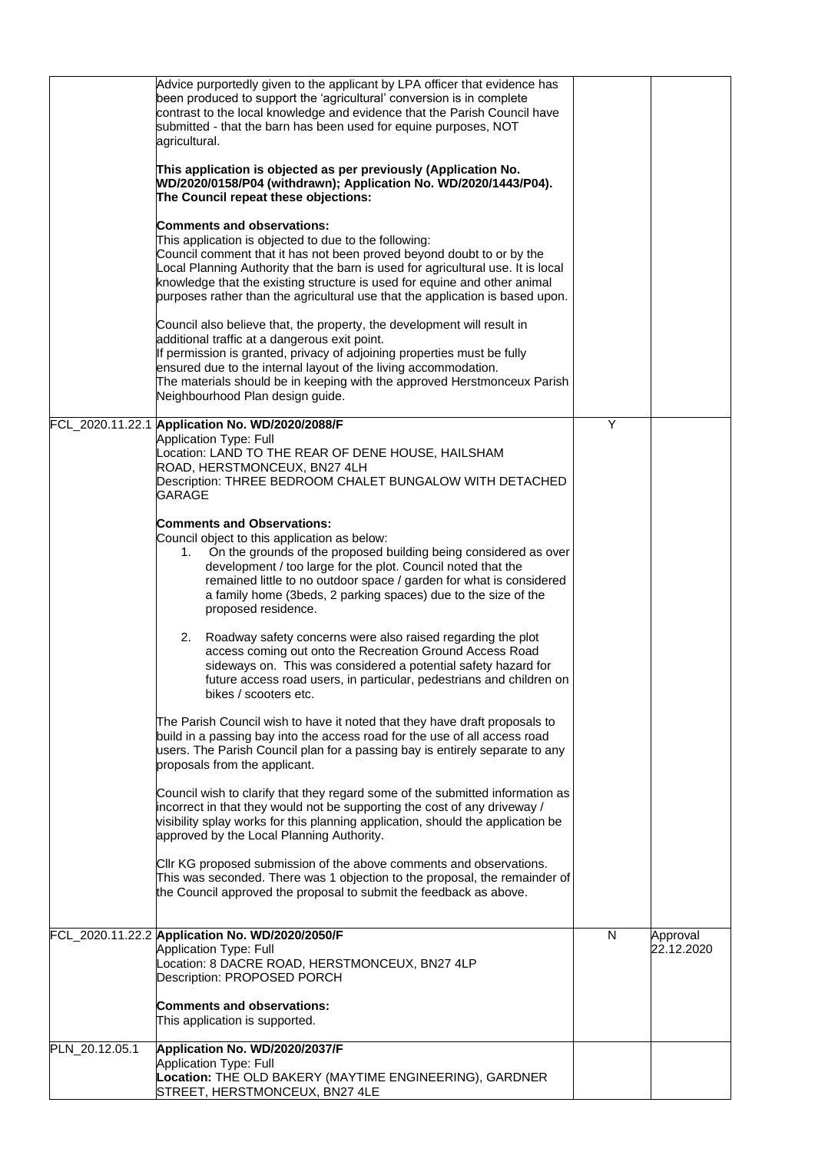| PLN_20.12.05.1 | This application is supported.<br>Application No. WD/2020/2037/F<br>Application Type: Full<br>Location: THE OLD BAKERY (MAYTIME ENGINEERING), GARDNER                                                                                                                                                                                                                                                                                                                                                                 |   |                        |
|----------------|-----------------------------------------------------------------------------------------------------------------------------------------------------------------------------------------------------------------------------------------------------------------------------------------------------------------------------------------------------------------------------------------------------------------------------------------------------------------------------------------------------------------------|---|------------------------|
|                | FCL_2020.11.22.2 Application No. WD/2020/2050/F<br>Application Type: Full<br>Location: 8 DACRE ROAD, HERSTMONCEUX, BN27 4LP<br>Description: PROPOSED PORCH<br><b>Comments and observations:</b>                                                                                                                                                                                                                                                                                                                       | N | Approval<br>22.12.2020 |
|                | Council wish to clarify that they regard some of the submitted information as<br>incorrect in that they would not be supporting the cost of any driveway /<br>visibility splay works for this planning application, should the application be<br>approved by the Local Planning Authority.<br>CIIr KG proposed submission of the above comments and observations.<br>This was seconded. There was 1 objection to the proposal, the remainder of<br>the Council approved the proposal to submit the feedback as above. |   |                        |
|                | bikes / scooters etc.<br>The Parish Council wish to have it noted that they have draft proposals to<br>build in a passing bay into the access road for the use of all access road<br>users. The Parish Council plan for a passing bay is entirely separate to any<br>proposals from the applicant.                                                                                                                                                                                                                    |   |                        |
|                | Roadway safety concerns were also raised regarding the plot<br>2.<br>access coming out onto the Recreation Ground Access Road<br>sideways on. This was considered a potential safety hazard for<br>future access road users, in particular, pedestrians and children on                                                                                                                                                                                                                                               |   |                        |
|                | <b>Comments and Observations:</b><br>Council object to this application as below:<br>On the grounds of the proposed building being considered as over<br>1.<br>development / too large for the plot. Council noted that the<br>remained little to no outdoor space / garden for what is considered<br>a family home (3beds, 2 parking spaces) due to the size of the<br>proposed residence.                                                                                                                           |   |                        |
|                | FCL_2020.11.22.1 Application No. WD/2020/2088/F<br>Application Type: Full<br>Location: LAND TO THE REAR OF DENE HOUSE, HAILSHAM<br>ROAD, HERSTMONCEUX, BN27 4LH<br>Description: THREE BEDROOM CHALET BUNGALOW WITH DETACHED<br><b>GARAGE</b>                                                                                                                                                                                                                                                                          | Y |                        |
|                | Council also believe that, the property, the development will result in<br>additional traffic at a dangerous exit point.<br>If permission is granted, privacy of adjoining properties must be fully<br>ensured due to the internal layout of the living accommodation.<br>The materials should be in keeping with the approved Herstmonceux Parish<br>Neighbourhood Plan design guide.                                                                                                                                |   |                        |
|                | <b>Comments and observations:</b><br>This application is objected to due to the following:<br>Council comment that it has not been proved beyond doubt to or by the<br>Local Planning Authority that the barn is used for agricultural use. It is local<br>knowledge that the existing structure is used for equine and other animal<br>purposes rather than the agricultural use that the application is based upon.                                                                                                 |   |                        |
|                | This application is objected as per previously (Application No.<br>WD/2020/0158/P04 (withdrawn); Application No. WD/2020/1443/P04).<br>The Council repeat these objections:                                                                                                                                                                                                                                                                                                                                           |   |                        |
|                | Advice purportedly given to the applicant by LPA officer that evidence has<br>been produced to support the 'agricultural' conversion is in complete<br>contrast to the local knowledge and evidence that the Parish Council have<br>submitted - that the barn has been used for equine purposes, NOT<br>agricultural.                                                                                                                                                                                                 |   |                        |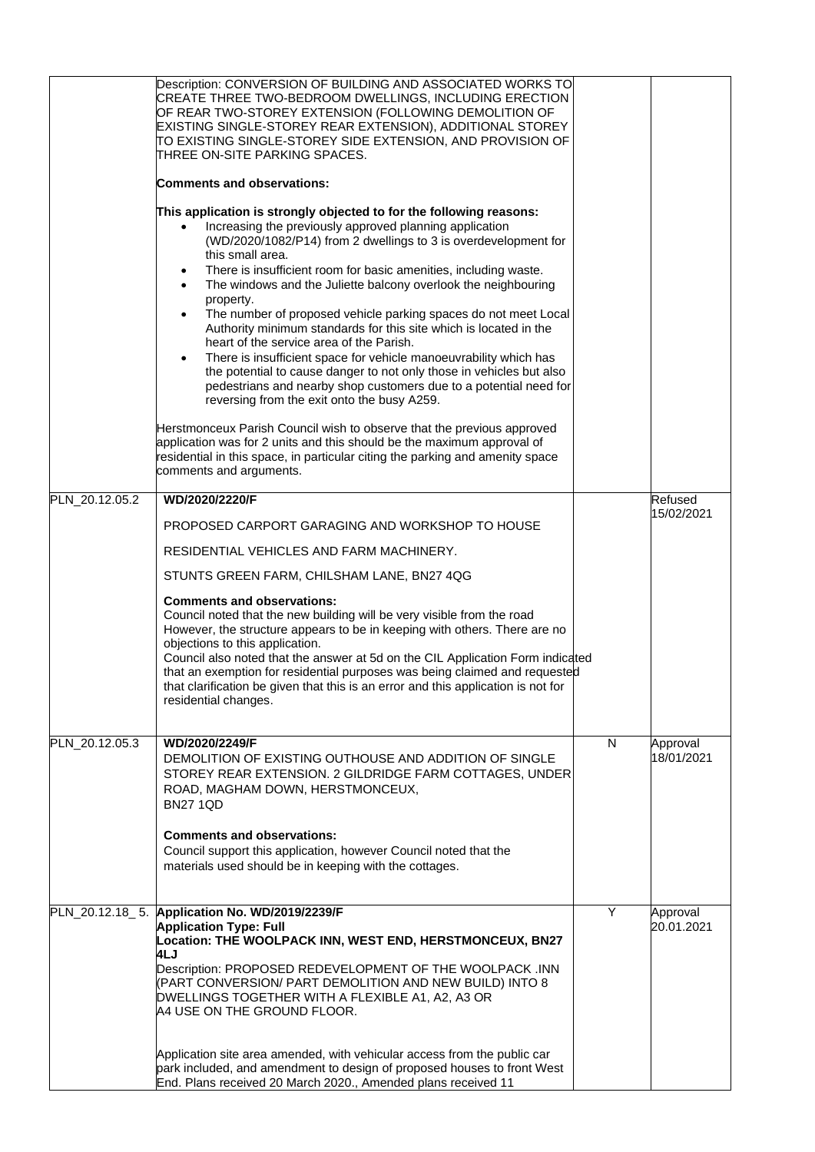|                | Description: CONVERSION OF BUILDING AND ASSOCIATED WORKS TO<br>CREATE THREE TWO-BEDROOM DWELLINGS, INCLUDING ERECTION<br>OF REAR TWO-STOREY EXTENSION (FOLLOWING DEMOLITION OF<br>EXISTING SINGLE-STOREY REAR EXTENSION), ADDITIONAL STOREY<br>TO EXISTING SINGLE-STOREY SIDE EXTENSION, AND PROVISION OF<br>THREE ON-SITE PARKING SPACES.<br><b>Comments and observations:</b>                                                                                                                          |   |                        |
|----------------|----------------------------------------------------------------------------------------------------------------------------------------------------------------------------------------------------------------------------------------------------------------------------------------------------------------------------------------------------------------------------------------------------------------------------------------------------------------------------------------------------------|---|------------------------|
|                |                                                                                                                                                                                                                                                                                                                                                                                                                                                                                                          |   |                        |
|                | This application is strongly objected to for the following reasons:<br>Increasing the previously approved planning application<br>(WD/2020/1082/P14) from 2 dwellings to 3 is overdevelopment for<br>this small area.<br>There is insufficient room for basic amenities, including waste.<br>٠<br>The windows and the Juliette balcony overlook the neighbouring                                                                                                                                         |   |                        |
|                | property.<br>The number of proposed vehicle parking spaces do not meet Local<br>Authority minimum standards for this site which is located in the<br>heart of the service area of the Parish.                                                                                                                                                                                                                                                                                                            |   |                        |
|                | There is insufficient space for vehicle manoeuvrability which has<br>the potential to cause danger to not only those in vehicles but also<br>pedestrians and nearby shop customers due to a potential need for<br>reversing from the exit onto the busy A259.                                                                                                                                                                                                                                            |   |                        |
|                | Herstmonceux Parish Council wish to observe that the previous approved<br>application was for 2 units and this should be the maximum approval of<br>residential in this space, in particular citing the parking and amenity space<br>comments and arguments.                                                                                                                                                                                                                                             |   |                        |
| PLN_20.12.05.2 | WD/2020/2220/F                                                                                                                                                                                                                                                                                                                                                                                                                                                                                           |   | Refused<br>15/02/2021  |
|                | PROPOSED CARPORT GARAGING AND WORKSHOP TO HOUSE                                                                                                                                                                                                                                                                                                                                                                                                                                                          |   |                        |
|                | RESIDENTIAL VEHICLES AND FARM MACHINERY.                                                                                                                                                                                                                                                                                                                                                                                                                                                                 |   |                        |
|                | STUNTS GREEN FARM, CHILSHAM LANE, BN27 4QG                                                                                                                                                                                                                                                                                                                                                                                                                                                               |   |                        |
|                | <b>Comments and observations:</b><br>Council noted that the new building will be very visible from the road<br>However, the structure appears to be in keeping with others. There are no<br>objections to this application.<br>Council also noted that the answer at 5d on the CIL Application Form indicated<br>that an exemption for residential purposes was being claimed and requested<br>that clarification be given that this is an error and this application is not for<br>residential changes. |   |                        |
| PLN_20.12.05.3 | WD/2020/2249/F                                                                                                                                                                                                                                                                                                                                                                                                                                                                                           | N | Approval               |
|                | DEMOLITION OF EXISTING OUTHOUSE AND ADDITION OF SINGLE<br>STOREY REAR EXTENSION. 2 GILDRIDGE FARM COTTAGES, UNDER<br>ROAD, MAGHAM DOWN, HERSTMONCEUX,<br><b>BN27 1QD</b><br><b>Comments and observations:</b><br>Council support this application, however Council noted that the<br>materials used should be in keeping with the cottages.                                                                                                                                                              |   | 18/01/2021             |
|                |                                                                                                                                                                                                                                                                                                                                                                                                                                                                                                          |   |                        |
|                | PLN_20.12.18_5. Application No. WD/2019/2239/F<br><b>Application Type: Full</b><br>Location: THE WOOLPACK INN, WEST END, HERSTMONCEUX, BN27<br>4LJ<br>Description: PROPOSED REDEVELOPMENT OF THE WOOLPACK .INN<br>(PART CONVERSION/ PART DEMOLITION AND NEW BUILD) INTO 8<br>DWELLINGS TOGETHER WITH A FLEXIBLE A1, A2, A3 OR<br>A4 USE ON THE GROUND FLOOR.                                                                                                                                             | Y | Approval<br>20.01.2021 |
|                | Application site area amended, with vehicular access from the public car<br>park included, and amendment to design of proposed houses to front West<br>End. Plans received 20 March 2020., Amended plans received 11                                                                                                                                                                                                                                                                                     |   |                        |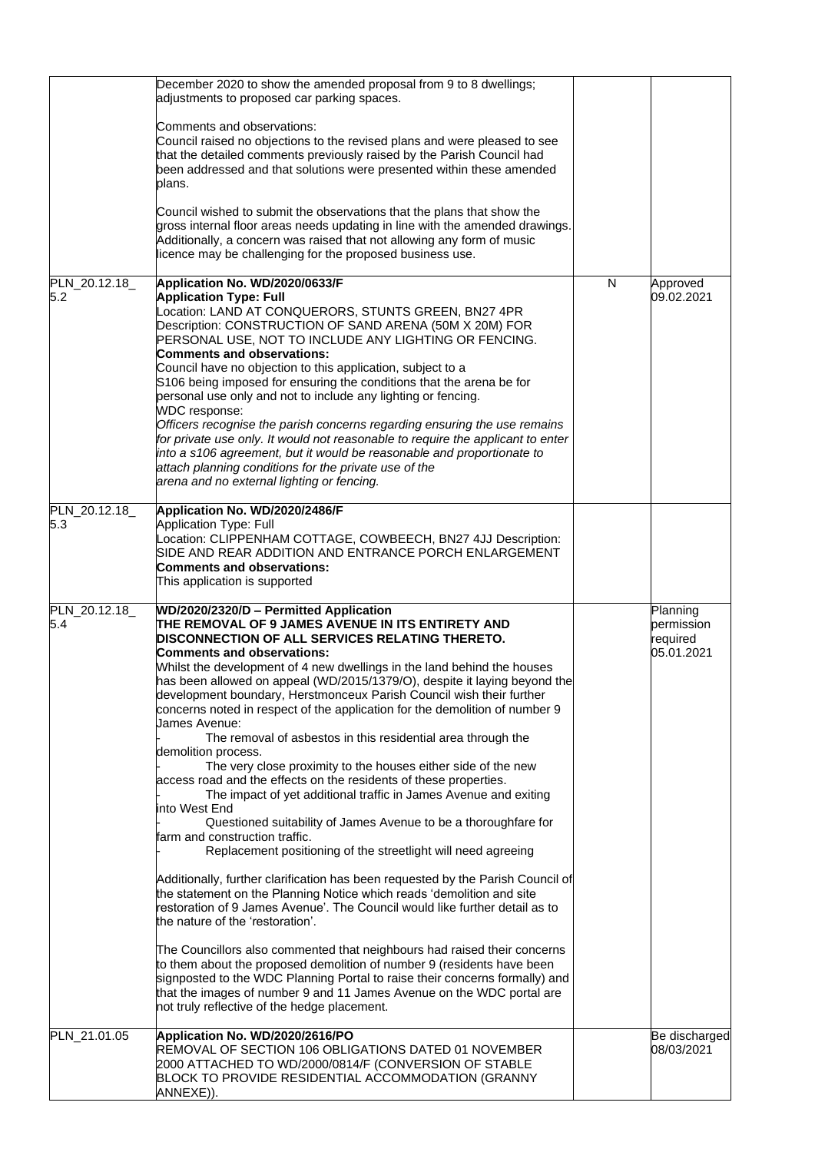|                      | December 2020 to show the amended proposal from 9 to 8 dwellings;<br>adjustments to proposed car parking spaces.                                                                                                                                                                                                                                                                                                                                                                                                                                                                                                                                                                                                                                                                                                                                                                                                                                                                                                                                                                                                                                                                                                                                                                                                                                                                                                                                                                                                                                                                                                                                         |   |                                                  |
|----------------------|----------------------------------------------------------------------------------------------------------------------------------------------------------------------------------------------------------------------------------------------------------------------------------------------------------------------------------------------------------------------------------------------------------------------------------------------------------------------------------------------------------------------------------------------------------------------------------------------------------------------------------------------------------------------------------------------------------------------------------------------------------------------------------------------------------------------------------------------------------------------------------------------------------------------------------------------------------------------------------------------------------------------------------------------------------------------------------------------------------------------------------------------------------------------------------------------------------------------------------------------------------------------------------------------------------------------------------------------------------------------------------------------------------------------------------------------------------------------------------------------------------------------------------------------------------------------------------------------------------------------------------------------------------|---|--------------------------------------------------|
|                      | Comments and observations:<br>Council raised no objections to the revised plans and were pleased to see<br>that the detailed comments previously raised by the Parish Council had<br>been addressed and that solutions were presented within these amended<br>plans.                                                                                                                                                                                                                                                                                                                                                                                                                                                                                                                                                                                                                                                                                                                                                                                                                                                                                                                                                                                                                                                                                                                                                                                                                                                                                                                                                                                     |   |                                                  |
|                      | Council wished to submit the observations that the plans that show the<br>gross internal floor areas needs updating in line with the amended drawings.<br>Additionally, a concern was raised that not allowing any form of music<br>licence may be challenging for the proposed business use.                                                                                                                                                                                                                                                                                                                                                                                                                                                                                                                                                                                                                                                                                                                                                                                                                                                                                                                                                                                                                                                                                                                                                                                                                                                                                                                                                            |   |                                                  |
| PLN_20.12.18<br>5.2  | Application No. WD/2020/0633/F<br><b>Application Type: Full</b><br>Location: LAND AT CONQUERORS, STUNTS GREEN, BN27 4PR<br>Description: CONSTRUCTION OF SAND ARENA (50M X 20M) FOR<br>PERSONAL USE, NOT TO INCLUDE ANY LIGHTING OR FENCING.<br><b>Comments and observations:</b><br>Council have no objection to this application, subject to a<br>S106 being imposed for ensuring the conditions that the arena be for<br>personal use only and not to include any lighting or fencing.<br><b>WDC</b> response:<br>Officers recognise the parish concerns regarding ensuring the use remains<br>for private use only. It would not reasonable to require the applicant to enter<br>into a s106 agreement, but it would be reasonable and proportionate to<br>attach planning conditions for the private use of the<br>arena and no external lighting or fencing.                                                                                                                                                                                                                                                                                                                                                                                                                                                                                                                                                                                                                                                                                                                                                                                        | N | Approved<br>09.02.2021                           |
| PLN_20.12.18_<br>5.3 | Application No. WD/2020/2486/F<br>Application Type: Full<br>Location: CLIPPENHAM COTTAGE, COWBEECH, BN27 4JJ Description:<br>SIDE AND REAR ADDITION AND ENTRANCE PORCH ENLARGEMENT<br><b>Comments and observations:</b><br>This application is supported                                                                                                                                                                                                                                                                                                                                                                                                                                                                                                                                                                                                                                                                                                                                                                                                                                                                                                                                                                                                                                                                                                                                                                                                                                                                                                                                                                                                 |   |                                                  |
| PLN_20.12.18_<br>5.4 | WD/2020/2320/D - Permitted Application<br>THE REMOVAL OF 9 JAMES AVENUE IN ITS ENTIRETY AND<br>DISCONNECTION OF ALL SERVICES RELATING THERETO.<br><b>Comments and observations:</b><br>Whilst the development of 4 new dwellings in the land behind the houses<br>has been allowed on appeal (WD/2015/1379/O), despite it laying beyond the<br>development boundary, Herstmonceux Parish Council wish their further<br>concerns noted in respect of the application for the demolition of number 9<br>James Avenue:<br>The removal of asbestos in this residential area through the<br>demolition process.<br>The very close proximity to the houses either side of the new<br>access road and the effects on the residents of these properties.<br>The impact of yet additional traffic in James Avenue and exiting<br>into West End<br>Questioned suitability of James Avenue to be a thoroughfare for<br>farm and construction traffic.<br>Replacement positioning of the streetlight will need agreeing<br>Additionally, further clarification has been requested by the Parish Council of<br>the statement on the Planning Notice which reads 'demolition and site<br>restoration of 9 James Avenue'. The Council would like further detail as to<br>the nature of the 'restoration'.<br>The Councillors also commented that neighbours had raised their concerns<br>to them about the proposed demolition of number 9 (residents have been<br>signposted to the WDC Planning Portal to raise their concerns formally) and<br>that the images of number 9 and 11 James Avenue on the WDC portal are<br>not truly reflective of the hedge placement. |   | Planning<br>permission<br>required<br>05.01.2021 |
| PLN_21.01.05         | Application No. WD/2020/2616/PO<br>REMOVAL OF SECTION 106 OBLIGATIONS DATED 01 NOVEMBER<br>2000 ATTACHED TO WD/2000/0814/F (CONVERSION OF STABLE<br>BLOCK TO PROVIDE RESIDENTIAL ACCOMMODATION (GRANNY<br>ANNEXE)).                                                                                                                                                                                                                                                                                                                                                                                                                                                                                                                                                                                                                                                                                                                                                                                                                                                                                                                                                                                                                                                                                                                                                                                                                                                                                                                                                                                                                                      |   | Be discharged<br>08/03/2021                      |